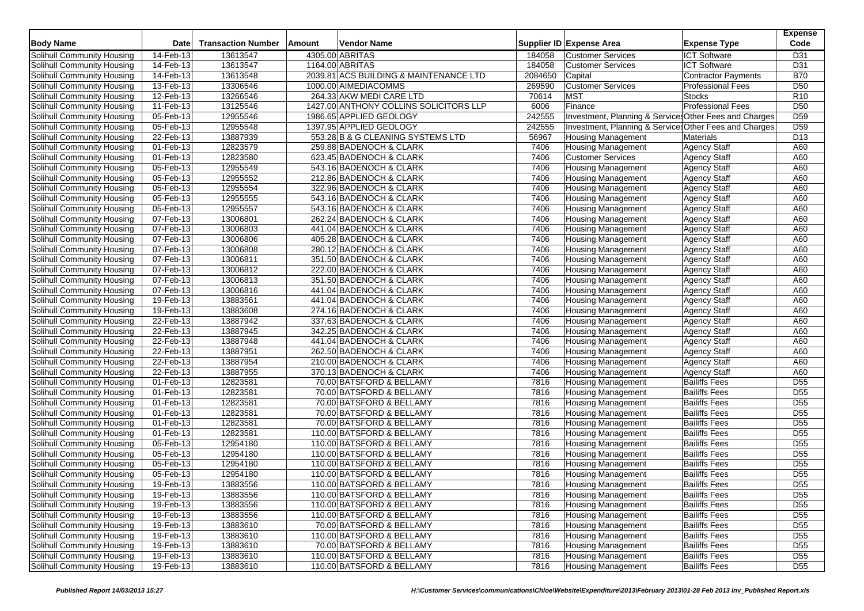| <b>Body Name</b>                  | Date      | <b>Transaction Number</b> | Amount | Vendor Name                            |         | Supplier ID Expense Area                               | <b>Expense Type</b>      | <b>Expense</b><br>Code |
|-----------------------------------|-----------|---------------------------|--------|----------------------------------------|---------|--------------------------------------------------------|--------------------------|------------------------|
| Solihull Community Housing        | 14-Feb-13 | 13613547                  |        | 4305.00 ABRITAS                        | 184058  | <b>Customer Services</b>                               | <b>ICT Software</b>      | D31                    |
| Solihull Community Housing        | 14-Feb-13 | 13613547                  |        | 1164.00 ABRITAS                        | 184058  | <b>Customer Services</b>                               | <b>ICT Software</b>      | D31                    |
| Solihull Community Housing        | 14-Feb-13 | 13613548                  |        | 2039.81 ACS BUILDING & MAINTENANCE LTD | 2084650 | Capital                                                | Contractor Payments      | <b>B70</b>             |
| Solihull Community Housing        | 13-Feb-13 | 13306546                  |        | 1000.00 AIMEDIACOMMS                   | 269590  | <b>Customer Services</b>                               | <b>Professional Fees</b> | D <sub>50</sub>        |
| Solihull Community Housing        | 12-Feb-13 | 13266546                  |        | 264.33 AKW MEDI CARE LTD               | 70614   | <b>MST</b>                                             | <b>Stocks</b>            | R <sub>10</sub>        |
| Solihull Community Housing        | 11-Feb-13 | 13125546                  |        | 1427.00 ANTHONY COLLINS SOLICITORS LLP | 6006    | Finance                                                | <b>Professional Fees</b> | D <sub>50</sub>        |
| Solihull Community Housing        | 05-Feb-13 | 12955546                  |        | 1986.65 APPLIED GEOLOGY                | 242555  | Investment, Planning & Services Other Fees and Charges |                          | D <sub>59</sub>        |
| Solihull Community Housing        | 05-Feb-13 | 12955548                  |        | 1397.95 APPLIED GEOLOGY                | 242555  | Investment, Planning & Services Other Fees and Charges |                          | D <sub>59</sub>        |
| Solihull Community Housing        | 22-Feb-13 | 13887939                  |        | 553.28 B & G CLEANING SYSTEMS LTD      | 56967   | Housing Management                                     | <b>Materials</b>         | D <sub>13</sub>        |
| Solihull Community Housing        | 01-Feb-13 | 12823579                  |        | 259.88 BADENOCH & CLARK                | 7406    | <b>Housing Management</b>                              | Agency Staff             | A60                    |
| Solihull Community Housing        | 01-Feb-13 | 12823580                  |        | 623.45 BADENOCH & CLARK                | 7406    | <b>Customer Services</b>                               | <b>Agency Staff</b>      | A60                    |
| Solihull Community Housing        | 05-Feb-13 | 12955549                  |        | 543.16 BADENOCH & CLARK                | 7406    | <b>Housing Management</b>                              | <b>Agency Staff</b>      | A60                    |
| Solihull Community Housing        | 05-Feb-13 | 12955552                  |        | 212.86 BADENOCH & CLARK                | 7406    | Housing Management                                     | <b>Agency Staff</b>      | A60                    |
| Solihull Community Housing        | 05-Feb-13 | 12955554                  |        | 322.96 BADENOCH & CLARK                | 7406    | <b>Housing Management</b>                              | <b>Agency Staff</b>      | A60                    |
| <b>Solihull Community Housing</b> | 05-Feb-13 | 12955555                  |        | 543.16 BADENOCH & CLARK                | 7406    | <b>Housing Management</b>                              | <b>Agency Staff</b>      | A60                    |
| Solihull Community Housing        | 05-Feb-13 | 12955557                  |        | 543.16 BADENOCH & CLARK                | 7406    | Housing Management                                     | <b>Agency Staff</b>      | A60                    |
| Solihull Community Housing        | 07-Feb-13 | 13006801                  |        | 262.24 BADENOCH & CLARK                | 7406    | <b>Housing Management</b>                              | <b>Agency Staff</b>      | A60                    |
| Solihull Community Housing        | 07-Feb-13 | 13006803                  |        | 441.04 BADENOCH & CLARK                | 7406    | <b>Housing Management</b>                              | <b>Agency Staff</b>      | A60                    |
| Solihull Community Housing        | 07-Feb-13 | 13006806                  |        | 405.28 BADENOCH & CLARK                | 7406    | <b>Housing Management</b>                              | <b>Agency Staff</b>      | A60                    |
| Solihull Community Housing        | 07-Feb-13 | 13006808                  |        | 280.12 BADENOCH & CLARK                | 7406    | <b>Housing Management</b>                              | <b>Agency Staff</b>      | A60                    |
| Solihull Community Housing        | 07-Feb-13 | 13006811                  |        | 351.50 BADENOCH & CLARK                | 7406    | <b>Housing Management</b>                              | <b>Agency Staff</b>      | A60                    |
| Solihull Community Housing        | 07-Feb-13 | 13006812                  |        | 222.00 BADENOCH & CLARK                | 7406    | <b>Housing Management</b>                              | <b>Agency Staff</b>      | A60                    |
| Solihull Community Housing        | 07-Feb-13 | 13006813                  |        | 351.50 BADENOCH & CLARK                | 7406    | <b>Housing Management</b>                              | <b>Agency Staff</b>      | A60                    |
| Solihull Community Housing        | 07-Feb-13 | 13006816                  |        | 441.04 BADENOCH & CLARK                | 7406    | <b>Housing Management</b>                              | <b>Agency Staff</b>      | A60                    |
| Solihull Community Housing        | 19-Feb-13 | 13883561                  |        | 441.04 BADENOCH & CLARK                | 7406    | <b>Housing Management</b>                              | <b>Agency Staff</b>      | A60                    |
| Solihull Community Housing        | 19-Feb-13 | 13883608                  |        | 274.16 BADENOCH & CLARK                | 7406    | <b>Housing Management</b>                              | <b>Agency Staff</b>      | A60                    |
| Solihull Community Housing        | 22-Feb-13 | 13887942                  |        | 337.63 BADENOCH & CLARK                | 7406    | <b>Housing Management</b>                              | <b>Agency Staff</b>      | A60                    |
| Solihull Community Housing        | 22-Feb-13 | 13887945                  |        | 342.25 BADENOCH & CLARK                | 7406    | <b>Housing Management</b>                              | <b>Agency Staff</b>      | A60                    |
| <b>Solihull Community Housing</b> | 22-Feb-13 | 13887948                  |        | 441.04 BADENOCH & CLARK                | 7406    | <b>Housing Management</b>                              | <b>Agency Staff</b>      | A60                    |
| Solihull Community Housing        | 22-Feb-13 | 13887951                  |        | 262.50 BADENOCH & CLARK                | 7406    | <b>Housing Management</b>                              | <b>Agency Staff</b>      | A60                    |
| Solihull Community Housing        | 22-Feb-13 | 13887954                  |        | 210.00 BADENOCH & CLARK                | 7406    | <b>Housing Management</b>                              | <b>Agency Staff</b>      | A60                    |
| Solihull Community Housing        | 22-Feb-13 | 13887955                  |        | 370.13 BADENOCH & CLARK                | 7406    | <b>Housing Management</b>                              | Agency Staff             | A60                    |
| Solihull Community Housing        | 01-Feb-13 | 12823581                  |        | 70.00 BATSFORD & BELLAMY               | 7816    | <b>Housing Management</b>                              | <b>Bailiffs Fees</b>     | D <sub>55</sub>        |
| Solihull Community Housing        | 01-Feb-13 | 12823581                  |        | 70.00 BATSFORD & BELLAMY               | 7816    | <b>Housing Management</b>                              | <b>Bailiffs Fees</b>     | D <sub>55</sub>        |
| Solihull Community Housing        | 01-Feb-13 | 12823581                  |        | 70.00 BATSFORD & BELLAMY               | 7816    | <b>Housing Management</b>                              | <b>Bailiffs Fees</b>     | D <sub>55</sub>        |
| <b>Solihull Community Housing</b> | 01-Feb-13 | 12823581                  |        | 70.00 BATSFORD & BELLAMY               | 7816    | <b>Housing Management</b>                              | <b>Bailiffs Fees</b>     | D <sub>55</sub>        |
| Solihull Community Housing        | 01-Feb-13 | 12823581                  |        | 70.00 BATSFORD & BELLAMY               | 7816    | <b>Housing Management</b>                              | <b>Bailiffs Fees</b>     | D <sub>55</sub>        |
| Solihull Community Housing        | 01-Feb-13 | 12823581                  |        | 110.00 BATSFORD & BELLAMY              | 7816    | <b>Housing Management</b>                              | <b>Bailiffs Fees</b>     | D <sub>55</sub>        |
| Solihull Community Housing        | 05-Feb-13 | 12954180                  |        | 110.00 BATSFORD & BELLAMY              | 7816    | <b>Housing Management</b>                              | <b>Bailiffs Fees</b>     | D <sub>55</sub>        |
| Solihull Community Housing        | 05-Feb-13 | 12954180                  |        | 110.00 BATSFORD & BELLAMY              | 7816    | <b>Housing Management</b>                              | <b>Bailiffs Fees</b>     | D <sub>55</sub>        |
| Solihull Community Housing        | 05-Feb-13 | 12954180                  |        | 110.00 BATSFORD & BELLAMY              | 7816    | <b>Housing Management</b>                              | <b>Bailiffs Fees</b>     | $\overline{D55}$       |
| Solihull Community Housing        | 05-Feb-13 | 12954180                  |        | 110.00 BATSFORD & BELLAMY              | 7816    | <b>Housing Management</b>                              | <b>Bailiffs Fees</b>     | $\overline{D55}$       |
| <b>Solihull Community Housing</b> | 19-Feb-13 | 13883556                  |        | 110.00 BATSFORD & BELLAMY              | 7816    | <b>Housing Management</b>                              | <b>Bailiffs Fees</b>     | D <sub>55</sub>        |
| Solihull Community Housing        | 19-Feb-13 | 13883556                  |        | 110.00 BATSFORD & BELLAMY              | 7816    | <b>Housing Management</b>                              | <b>Bailiffs Fees</b>     | D <sub>55</sub>        |
| Solihull Community Housing        | 19-Feb-13 | 13883556                  |        | 110.00 BATSFORD & BELLAMY              | 7816    | <b>Housing Management</b>                              | <b>Bailiffs Fees</b>     | D <sub>55</sub>        |
| Solihull Community Housing        | 19-Feb-13 | 13883556                  |        | 110.00 BATSFORD & BELLAMY              | 7816    | <b>Housing Management</b>                              | <b>Bailiffs Fees</b>     | D <sub>55</sub>        |
| Solihull Community Housing        | 19-Feb-13 | 13883610                  |        | 70.00 BATSFORD & BELLAMY               | 7816    | <b>Housing Management</b>                              | <b>Bailiffs Fees</b>     | D <sub>55</sub>        |
| Solihull Community Housing        | 19-Feb-13 | 13883610                  |        | 110.00 BATSFORD & BELLAMY              | 7816    | <b>Housing Management</b>                              | <b>Bailiffs Fees</b>     | D <sub>55</sub>        |
| Solihull Community Housing        | 19-Feb-13 | 13883610                  |        | 70.00 BATSFORD & BELLAMY               | 7816    | <b>Housing Management</b>                              | <b>Bailiffs Fees</b>     | D <sub>55</sub>        |
| Solihull Community Housing        | 19-Feb-13 | 13883610                  |        | 110.00 BATSFORD & BELLAMY              | 7816    | <b>Housing Management</b>                              | <b>Bailiffs Fees</b>     | D <sub>55</sub>        |
| Solihull Community Housing        | 19-Feb-13 | 13883610                  |        | 110.00 BATSFORD & BELLAMY              | 7816    | <b>Housing Management</b>                              | <b>Bailiffs Fees</b>     | D <sub>55</sub>        |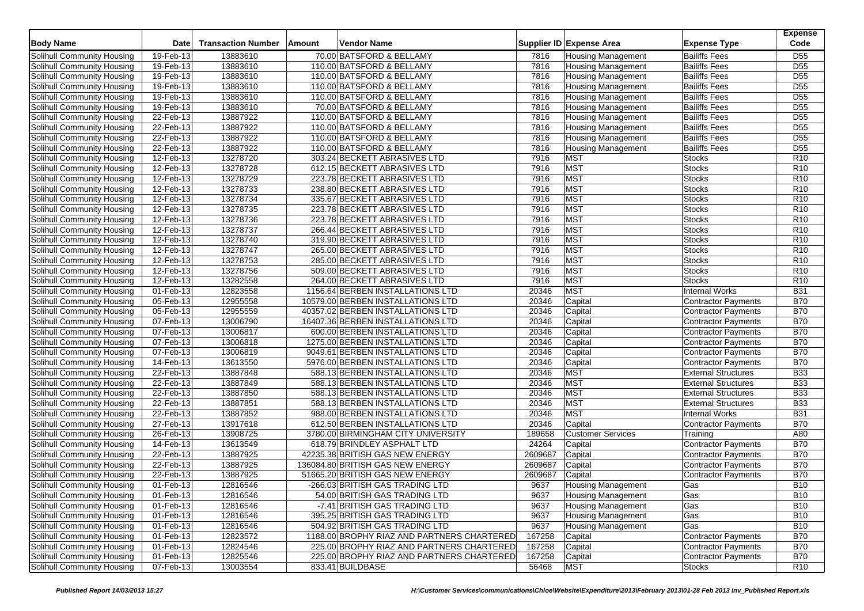| <b>Body Name</b>           | <b>Date</b>  | <b>Transaction Number</b> | Amount | Vendor Name                                |         | Supplier ID Expense Area  | <b>Expense Type</b>        | <b>Expense</b><br>Code |
|----------------------------|--------------|---------------------------|--------|--------------------------------------------|---------|---------------------------|----------------------------|------------------------|
| Solihull Community Housing | 19-Feb-13    | 13883610                  |        | 70.00 BATSFORD & BELLAMY                   | 7816    | <b>Housing Management</b> | <b>Bailiffs Fees</b>       | D <sub>55</sub>        |
| Solihull Community Housing | 19-Feb-13    | 13883610                  |        | 110.00 BATSFORD & BELLAMY                  | 7816    | <b>Housing Management</b> | <b>Bailiffs Fees</b>       | D <sub>55</sub>        |
| Solihull Community Housing | 19-Feb-13    | 13883610                  |        | 110.00 BATSFORD & BELLAMY                  | 7816    | <b>Housing Management</b> | <b>Bailiffs Fees</b>       | $\overline{D55}$       |
| Solihull Community Housing | 19-Feb-13    | 13883610                  |        | 110.00 BATSFORD & BELLAMY                  | 7816    | <b>Housing Management</b> | <b>Bailiffs Fees</b>       | D <sub>55</sub>        |
| Solihull Community Housing | 19-Feb-13    | 13883610                  |        | 110.00 BATSFORD & BELLAMY                  | 7816    | <b>Housing Management</b> | <b>Bailiffs Fees</b>       | D <sub>55</sub>        |
| Solihull Community Housing | 19-Feb-13    | 13883610                  |        | 70.00 BATSFORD & BELLAMY                   | 7816    | <b>Housing Management</b> | <b>Bailiffs Fees</b>       | D <sub>55</sub>        |
| Solihull Community Housing | 22-Feb-13    | 13887922                  |        | 110.00 BATSFORD & BELLAMY                  | 7816    | <b>Housing Management</b> | <b>Bailiffs Fees</b>       | $\overline{D55}$       |
| Solihull Community Housing | 22-Feb-13    | 13887922                  |        | 110.00 BATSFORD & BELLAMY                  | 7816    | <b>Housing Management</b> | <b>Bailiffs Fees</b>       | D <sub>55</sub>        |
| Solihull Community Housing | 22-Feb-13    | 13887922                  |        | 110.00 BATSFORD & BELLAMY                  | 7816    | <b>Housing Management</b> | <b>Bailiffs Fees</b>       | D <sub>55</sub>        |
| Solihull Community Housing | 22-Feb-13    | 13887922                  |        | 110.00 BATSFORD & BELLAMY                  | 7816    | <b>Housing Management</b> | <b>Bailiffs Fees</b>       | $\overline{D55}$       |
| Solihull Community Housing | 12-Feb-13    | 13278720                  |        | 303.24 BECKETT ABRASIVES LTD               | 7916    | <b>MST</b>                | <b>Stocks</b>              | R <sub>10</sub>        |
| Solihull Community Housing | 12-Feb-13    | 13278728                  |        | 612.15 BECKETT ABRASIVES LTD               | 7916    | <b>MST</b>                | <b>Stocks</b>              | R10                    |
| Solihull Community Housing | 12-Feb-13    | 13278729                  |        | 223.78 BECKETT ABRASIVES LTD               | 7916    | <b>MST</b>                | <b>Stocks</b>              | R10                    |
| Solihull Community Housing | 12-Feb-13    | 13278733                  |        | 238.80 BECKETT ABRASIVES LTD               | 7916    | <b>MST</b>                | <b>Stocks</b>              | R <sub>10</sub>        |
| Solihull Community Housing | 12-Feb-13    | 13278734                  |        | 335.67 BECKETT ABRASIVES LTD               | 7916    | <b>MST</b>                | <b>Stocks</b>              | R <sub>10</sub>        |
| Solihull Community Housing | 12-Feb-13    | 13278735                  |        | 223.78 BECKETT ABRASIVES LTD               | 7916    | <b>MST</b>                | <b>Stocks</b>              | R <sub>10</sub>        |
| Solihull Community Housing | 12-Feb-13    | 13278736                  |        | 223.78 BECKETT ABRASIVES LTD               | 7916    | <b>MST</b>                | <b>Stocks</b>              | R <sub>10</sub>        |
| Solihull Community Housing | 12-Feb-13    | 13278737                  |        | 266.44 BECKETT ABRASIVES LTD               | 7916    | <b>MST</b>                | <b>Stocks</b>              | R <sub>10</sub>        |
| Solihull Community Housing | 12-Feb-13    | 13278740                  |        | 319.90 BECKETT ABRASIVES LTD               | 7916    | <b>MST</b>                | <b>Stocks</b>              | R10                    |
| Solihull Community Housing | 12-Feb-13    | 13278747                  |        | 265.00 BECKETT ABRASIVES LTD               | 7916    | <b>MST</b>                | <b>Stocks</b>              | R <sub>10</sub>        |
| Solihull Community Housing | $12$ -Feb-13 | 13278753                  |        | 285.00 BECKETT ABRASIVES LTD               | 7916    | <b>MST</b>                | <b>Stocks</b>              | R <sub>10</sub>        |
| Solihull Community Housing | 12-Feb-13    | 13278756                  |        | 509.00 BECKETT ABRASIVES LTD               | 7916    | <b>MST</b>                | <b>Stocks</b>              | R <sub>10</sub>        |
| Solihull Community Housing | 12-Feb-13    | 13282558                  |        | 264.00 BECKETT ABRASIVES LTD               | 7916    | <b>MST</b>                | <b>Stocks</b>              | R <sub>10</sub>        |
| Solihull Community Housing | $01$ -Feb-13 | 12823558                  |        | 1156.64 BERBEN INSTALLATIONS LTD           | 20346   | <b>MST</b>                | <b>Internal Works</b>      | <b>B31</b>             |
| Solihull Community Housing | 05-Feb-13    | 12955558                  |        | 10579.00 BERBEN INSTALLATIONS LTD          | 20346   | Capital                   | <b>Contractor Payments</b> | <b>B70</b>             |
| Solihull Community Housing | 05-Feb-13    | 12955559                  |        | 40357.02 BERBEN INSTALLATIONS LTD          | 20346   | Capital                   | <b>Contractor Payments</b> | <b>B70</b>             |
| Solihull Community Housing | 07-Feb-13    | 13006790                  |        | 16407.36 BERBEN INSTALLATIONS LTD          | 20346   | Capital                   | <b>Contractor Payments</b> | <b>B70</b>             |
| Solihull Community Housing | 07-Feb-13    | 13006817                  |        | 600.00 BERBEN INSTALLATIONS LTD            | 20346   | Capital                   | <b>Contractor Payments</b> | <b>B70</b>             |
| Solihull Community Housing | 07-Feb-13    | 13006818                  |        | 1275.00 BERBEN INSTALLATIONS LTD           | 20346   | Capital                   | <b>Contractor Payments</b> | <b>B70</b>             |
| Solihull Community Housing | 07-Feb-13    | 13006819                  |        | 9049.61 BERBEN INSTALLATIONS LTD           | 20346   | Capital                   | <b>Contractor Payments</b> | <b>B70</b>             |
| Solihull Community Housing | 14-Feb-13    | 13613550                  |        | 5976.00 BERBEN INSTALLATIONS LTD           | 20346   | Capital                   | Contractor Payments        | <b>B70</b>             |
| Solihull Community Housing | 22-Feb-13    | 13887848                  |        | 588.13 BERBEN INSTALLATIONS LTD            | 20346   | <b>MST</b>                | <b>External Structures</b> | <b>B33</b>             |
| Solihull Community Housing | 22-Feb-13    | 13887849                  |        | 588.13 BERBEN INSTALLATIONS LTD            | 20346   | <b>MST</b>                | <b>External Structures</b> | <b>B33</b>             |
| Solihull Community Housing | $22$ -Feb-13 | 13887850                  |        | 588.13 BERBEN INSTALLATIONS LTD            | 20346   | <b>MST</b>                | <b>External Structures</b> | <b>B33</b>             |
| Solihull Community Housing | 22-Feb-13    | 13887851                  |        | 588.13 BERBEN INSTALLATIONS LTD            | 20346   | <b>MST</b>                | <b>External Structures</b> | <b>B33</b>             |
| Solihull Community Housing | 22-Feb-13    | 13887852                  |        | 988.00 BERBEN INSTALLATIONS LTD            | 20346   | <b>MST</b>                | <b>Internal Works</b>      | <b>B31</b>             |
| Solihull Community Housing | 27-Feb-13    | 13917618                  |        | 612.50 BERBEN INSTALLATIONS LTD            | 20346   | Capital                   | Contractor Payments        | <b>B70</b>             |
| Solihull Community Housing | 26-Feb-13    | 13908725                  |        | 3780.00 BIRMINGHAM CITY UNIVERSITY         | 189658  | <b>Customer Services</b>  | Training                   | A80                    |
| Solihull Community Housing | 14-Feb-13    | 13613549                  |        | 618.79 BRINDLEY ASPHALT LTD                | 24264   | Capital                   | <b>Contractor Payments</b> | <b>B70</b>             |
| Solihull Community Housing | 22-Feb-13    | 13887925                  |        | 42235.38 BRITISH GAS NEW ENERGY            | 2609687 | Capital                   | <b>Contractor Payments</b> | <b>B70</b>             |
| Solihull Community Housing | 22-Feb-13    | 13887925                  |        | 136084.80 BRITISH GAS NEW ENERGY           | 2609687 | Capital                   | Contractor Payments        | <b>B70</b>             |
| Solihull Community Housing | 22-Feb-13    | 13887925                  |        | 51665.20 BRITISH GAS NEW ENERGY            | 2609687 | Capital                   | <b>Contractor Payments</b> | <b>B70</b>             |
| Solihull Community Housing | 01-Feb-13    | 12816546                  |        | -266.03 BRITISH GAS TRADING LTD            | 9637    | <b>Housing Management</b> | Gas                        | <b>B10</b>             |
| Solihull Community Housing | 01-Feb-13    | 12816546                  |        | 54.00 BRITISH GAS TRADING LTD              | 9637    | <b>Housing Management</b> | Gas                        | <b>B10</b>             |
| Solihull Community Housing | 01-Feb-13    | 12816546                  |        | -7.41 BRITISH GAS TRADING LTD              | 9637    | <b>Housing Management</b> | Gas                        | <b>B10</b>             |
| Solihull Community Housing | 01-Feb-13    | 12816546                  |        | 395.25 BRITISH GAS TRADING LTD             | 9637    | <b>Housing Management</b> | Gas                        | <b>B10</b>             |
| Solihull Community Housing | 01-Feb-13    | 12816546                  |        | 504.92 BRITISH GAS TRADING LTD             | 9637    | <b>Housing Management</b> | Gas                        | <b>B10</b>             |
| Solihull Community Housing | 01-Feb-13    | 12823572                  |        | 1188.00 BROPHY RIAZ AND PARTNERS CHARTERED | 167258  | Capital                   | <b>Contractor Payments</b> | <b>B70</b>             |
| Solihull Community Housing | 01-Feb-13    | 12824546                  |        | 225.00 BROPHY RIAZ AND PARTNERS CHARTERED  | 167258  | Capital                   | <b>Contractor Payments</b> | <b>B70</b>             |
| Solihull Community Housing | 01-Feb-13    | 12825546                  |        | 225.00 BROPHY RIAZ AND PARTNERS CHARTERED  | 167258  | Capital                   | Contractor Payments        | <b>B70</b>             |
| Solihull Community Housing | 07-Feb-13    | 13003554                  |        | 833.41 BUILDBASE                           | 56468   | <b>MST</b>                | Stocks                     | R <sub>10</sub>        |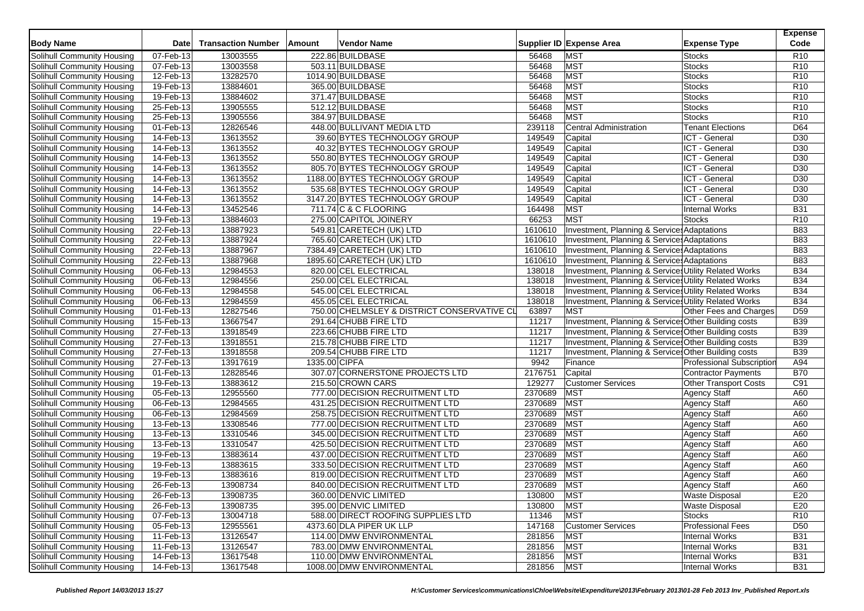| <b>Body Name</b>                  | <b>Date</b>  | <b>Transaction Number</b> | Amount        | <b>Vendor Name</b>                          |         | Supplier ID Expense Area                              | <b>Expense Type</b>              | <b>Expense</b><br>Code |
|-----------------------------------|--------------|---------------------------|---------------|---------------------------------------------|---------|-------------------------------------------------------|----------------------------------|------------------------|
| Solihull Community Housing        | 07-Feb-13    | 13003555                  |               | 222.86 BUILDBASE                            | 56468   | <b>MST</b>                                            | Stocks                           | R <sub>10</sub>        |
| Solihull Community Housing        | 07-Feb-13    | 13003558                  |               | 503.11 BUILDBASE                            | 56468   | <b>MST</b>                                            | <b>Stocks</b>                    | R <sub>10</sub>        |
| Solihull Community Housing        | 12-Feb-13    | 13282570                  |               | 1014.90 BUILDBASE                           | 56468   | <b>MST</b>                                            | <b>Stocks</b>                    | R <sub>10</sub>        |
| Solihull Community Housing        | 19-Feb-13    | 13884601                  |               | 365.00 BUILDBASE                            | 56468   | <b>MST</b>                                            | <b>Stocks</b>                    | R <sub>10</sub>        |
| Solihull Community Housing        | 19-Feb-13    | 13884602                  |               | 371.47 BUILDBASE                            | 56468   | <b>MST</b>                                            | Stocks                           | R <sub>10</sub>        |
| Solihull Community Housing        | 25-Feb-13    | 13905555                  |               | 512.12 BUILDBASE                            | 56468   | <b>MST</b>                                            | <b>Stocks</b>                    | R <sub>10</sub>        |
| Solihull Community Housing        | 25-Feb-13    | 13905556                  |               | 384.97 BUILDBASE                            | 56468   | <b>MST</b>                                            | <b>Stocks</b>                    | R10                    |
| <b>Solihull Community Housing</b> | 01-Feb-13    | 12826546                  |               | 448.00 BULLIVANT MEDIA LTD                  | 239118  | <b>Central Administration</b>                         | <b>Tenant Elections</b>          | D64                    |
| Solihull Community Housing        | 14-Feb-13    | 13613552                  |               | 39.60 BYTES TECHNOLOGY GROUP                | 149549  | Capital                                               | ICT - General                    | D30                    |
| Solihull Community Housing        | 14-Feb-13    | 13613552                  |               | 40.32 BYTES TECHNOLOGY GROUP                | 149549  | Capital                                               | ICT - General                    | D30                    |
| Solihull Community Housing        | 14-Feb-13    | 13613552                  |               | 550.80 BYTES TECHNOLOGY GROUP               | 149549  | Capital                                               | ICT - General                    | D30                    |
| Solihull Community Housing        | $14$ -Feb-13 | 13613552                  |               | 805.70 BYTES TECHNOLOGY GROUP               | 149549  | Capital                                               | ICT - General                    | D30                    |
| Solihull Community Housing        | 14-Feb-13    | 13613552                  |               | 1188.00 BYTES TECHNOLOGY GROUP              | 149549  | Capital                                               | ICT - General                    | D30                    |
| Solihull Community Housing        | 14-Feb-13    | 13613552                  |               | 535.68 BYTES TECHNOLOGY GROUP               | 149549  | Capital                                               | ICT - General                    | D30                    |
| Solihull Community Housing        | 14-Feb-13    | 13613552                  |               | 3147.20 BYTES TECHNOLOGY GROUP              | 149549  | Capital                                               | ICT - General                    | D30                    |
| Solihull Community Housing        | 14-Feb-13    | 13452546                  |               | 711.74 C & C FLOORING                       | 164498  | <b>MST</b>                                            | <b>Internal Works</b>            | <b>B31</b>             |
| Solihull Community Housing        | 19-Feb-13    | 13884603                  |               | 275.00 CAPITOL JOINERY                      | 66253   | <b>MST</b>                                            | <b>Stocks</b>                    | R <sub>10</sub>        |
| Solihull Community Housing        | 22-Feb-13    | 13887923                  |               | 549.81 CARETECH (UK) LTD                    | 1610610 | Investment, Planning & Service: Adaptations           |                                  | <b>B83</b>             |
| Solihull Community Housing        | 22-Feb-13    | 13887924                  |               | 765.60 CARETECH (UK) LTD                    | 1610610 | Investment, Planning & Service: Adaptations           |                                  | <b>B83</b>             |
| Solihull Community Housing        | 22-Feb-13    | 13887967                  |               | 7384.49 CARETECH (UK) LTD                   | 1610610 | Investment, Planning & Services Adaptations           |                                  | <b>B83</b>             |
| Solihull Community Housing        | 22-Feb-13    | 13887968                  |               | 1895.60 CARETECH (UK) LTD                   | 1610610 | Investment, Planning & Services Adaptations           |                                  | <b>B83</b>             |
| Solihull Community Housing        | $06$ -Feb-13 | 12984553                  |               | 820.00 CEL ELECTRICAL                       | 138018  | Investment, Planning & Services Utility Related Works |                                  | <b>B34</b>             |
| Solihull Community Housing        | 06-Feb-13    | 12984556                  |               | 250.00 CEL ELECTRICAL                       | 138018  | Investment, Planning & Services Utility Related Works |                                  | <b>B34</b>             |
| Solihull Community Housing        | 06-Feb-13    | 12984558                  |               | 545.00 CEL ELECTRICAL                       | 138018  | Investment, Planning & Services Utility Related Works |                                  | <b>B34</b>             |
| Solihull Community Housing        | 06-Feb-13    | 12984559                  |               | 455.05 CEL ELECTRICAL                       | 138018  | Investment, Planning & Services Utility Related Works |                                  | <b>B34</b>             |
| Solihull Community Housing        | 01-Feb-13    | 12827546                  |               | 750.00 CHELMSLEY & DISTRICT CONSERVATIVE CL | 63897   | <b>MST</b>                                            | Other Fees and Charges           | D <sub>59</sub>        |
| Solihull Community Housing        | 15-Feb-13    | 13667547                  |               | 291.64 CHUBB FIRE LTD                       | 11217   | Investment, Planning & Services Other Building costs  |                                  | <b>B39</b>             |
| Solihull Community Housing        | $27$ -Feb-13 | 13918549                  |               | 223.66 CHUBB FIRE LTD                       | 11217   | Investment, Planning & Services Other Building costs  |                                  | <b>B39</b>             |
| Solihull Community Housing        | 27-Feb-13    | 13918551                  |               | 215.78 CHUBB FIRE LTD                       | 11217   | Investment, Planning & Services Other Building costs  |                                  | <b>B39</b>             |
| Solihull Community Housing        | 27-Feb-13    | 13918558                  |               | 209.54 CHUBB FIRE LTD                       | 11217   | Investment, Planning & Service: Other Building costs  |                                  | <b>B39</b>             |
| Solihull Community Housing        | 27-Feb-13    | 13917619                  | 1335.00 CIPFA |                                             | 9942    | Finance                                               | <b>Professional Subscription</b> | A94                    |
| Solihull Community Housing        | 01-Feb-13    | 12828546                  |               | 307.07 CORNERSTONE PROJECTS LTD             | 2176751 | Capital                                               | Contractor Payments              | <b>B70</b>             |
| Solihull Community Housing        | 19-Feb-13    | 13883612                  |               | 215.50 CROWN CARS                           | 129277  | <b>Customer Services</b>                              | <b>Other Transport Costs</b>     | C91                    |
| Solihull Community Housing        | 05-Feb-13    | 12955560                  |               | 777.00 DECISION RECRUITMENT LTD             | 2370689 | <b>MST</b>                                            | <b>Agency Staff</b>              | A60                    |
| Solihull Community Housing        | 06-Feb-13    | 12984565                  |               | 431.25 DECISION RECRUITMENT LTD             | 2370689 | <b>MST</b>                                            | <b>Agency Staff</b>              | A60                    |
| Solihull Community Housing        | 06-Feb-13    | 12984569                  |               | 258.75 DECISION RECRUITMENT LTD             | 2370689 | <b>MST</b>                                            | <b>Agency Staff</b>              | A60                    |
| Solihull Community Housing        | 13-Feb-13    | 13308546                  |               | 777.00 DECISION RECRUITMENT LTD             | 2370689 | <b>MST</b>                                            | <b>Agency Staff</b>              | A60                    |
| Solihull Community Housing        | 13-Feb-13    | 13310546                  |               | 345.00 DECISION RECRUITMENT LTD             | 2370689 | <b>MST</b>                                            | <b>Agency Staff</b>              | A60                    |
| Solihull Community Housing        | 13-Feb-13    | 13310547                  |               | 425.50 DECISION RECRUITMENT LTD             | 2370689 | <b>MST</b>                                            | <b>Agency Staff</b>              | A60                    |
| Solihull Community Housing        | 19-Feb-13    | 13883614                  |               | 437.00 DECISION RECRUITMENT LTD             | 2370689 | <b>MST</b>                                            | <b>Agency Staff</b>              | A60                    |
| Solihull Community Housing        | 19-Feb-13    | 13883615                  |               | 333.50 DECISION RECRUITMENT LTD             | 2370689 | <b>MST</b>                                            | <b>Agency Staff</b>              | A60                    |
| Solihull Community Housing        | 19-Feb-13    | 13883616                  |               | 819.00 DECISION RECRUITMENT LTD             | 2370689 | <b>MST</b>                                            | <b>Agency Staff</b>              | A60                    |
| <b>Solihull Community Housing</b> | 26-Feb-13    | 13908734                  |               | 840.00 DECISION RECRUITMENT LTD             | 2370689 | <b>MST</b>                                            | <b>Agency Staff</b>              | A60                    |
| Solihull Community Housing        | 26-Feb-13    | 13908735                  |               | 360.00 DENVIC LIMITED                       | 130800  | <b>MST</b>                                            | <b>Waste Disposal</b>            | E20                    |
| Solihull Community Housing        | 26-Feb-13    | 13908735                  |               | 395.00 DENVIC LIMITED                       | 130800  | <b>MST</b>                                            | <b>Waste Disposal</b>            | E20                    |
| Solihull Community Housing        | 07-Feb-13    | 13004718                  |               | 588.00 DIRECT ROOFING SUPPLIES LTD          | 11346   | <b>MST</b>                                            | <b>Stocks</b>                    | R <sub>10</sub>        |
| Solihull Community Housing        | 05-Feb-13    | 12955561                  |               | 4373.60 DLA PIPER UK LLP                    | 147168  | <b>Customer Services</b>                              | <b>Professional Fees</b>         | D <sub>50</sub>        |
| Solihull Community Housing        | 11-Feb-13    | 13126547                  |               | 114.00 DMW ENVIRONMENTAL                    | 281856  | <b>MST</b>                                            | Internal Works                   | <b>B31</b>             |
| Solihull Community Housing        | 11-Feb-13    | 13126547                  |               | 783.00 DMW ENVIRONMENTAL                    | 281856  | <b>MST</b>                                            | <b>Internal Works</b>            | <b>B31</b>             |
| Solihull Community Housing        | 14-Feb-13    | 13617548                  |               | 110.00 DMW ENVIRONMENTAL                    | 281856  | <b>MST</b>                                            | Internal Works                   | <b>B31</b>             |
| Solihull Community Housing        | 14-Feb-13    | 13617548                  |               | 1008.00 DMW ENVIRONMENTAL                   | 281856  | <b>MST</b>                                            | <b>Internal Works</b>            | <b>B31</b>             |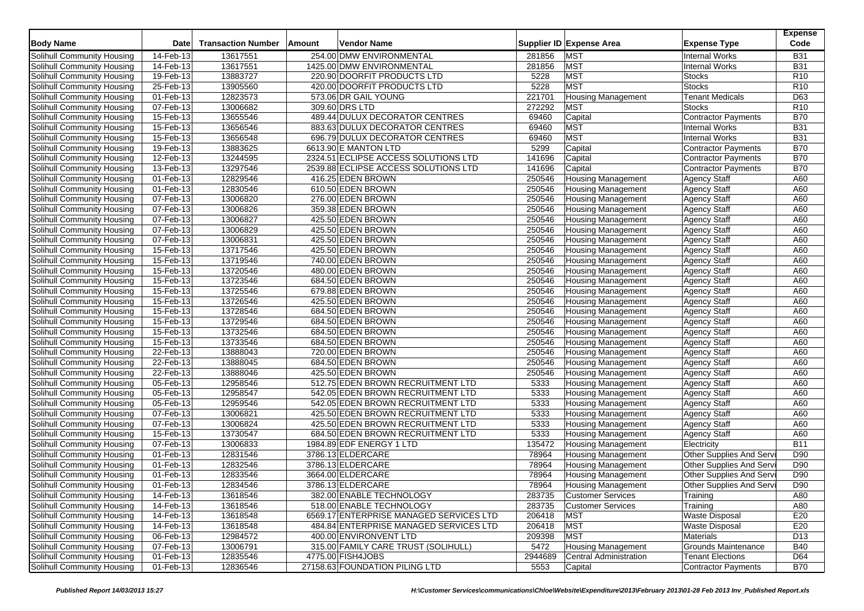| <b>Body Name</b>           | <b>Date</b>             | <b>Transaction Number</b> | Amount | Vendor Name                             |         | Supplier ID Expense Area      | <b>Expense Type</b>        | <b>Expense</b><br>Code |
|----------------------------|-------------------------|---------------------------|--------|-----------------------------------------|---------|-------------------------------|----------------------------|------------------------|
| Solihull Community Housing | 14-Feb-13               | 13617551                  |        | 254.00 DMW ENVIRONMENTAL                | 281856  | <b>MST</b>                    | <b>Internal Works</b>      | <b>B31</b>             |
| Solihull Community Housing | 14-Feb-13               | 13617551                  |        | 1425.00 DMW ENVIRONMENTAL               | 281856  | <b>MST</b>                    | <b>Internal Works</b>      | <b>B31</b>             |
| Solihull Community Housing | 19-Feb-13               | 13883727                  |        | 220.90 DOORFIT PRODUCTS LTD             | 5228    | <b>MST</b>                    | <b>Stocks</b>              | R <sub>10</sub>        |
| Solihull Community Housing | 25-Feb-13               | 13905560                  |        | 420.00 DOORFIT PRODUCTS LTD             | 5228    | <b>MST</b>                    | <b>Stocks</b>              | R <sub>10</sub>        |
| Solihull Community Housing | 01-Feb-13               | 12823573                  |        | 573.06 DR GAIL YOUNG                    | 221701  | <b>Housing Management</b>     | <b>Tenant Medicals</b>     | D63                    |
| Solihull Community Housing | 07-Feb-13               | 13006682                  |        | 309.60 DRS LTD                          | 272292  | <b>MST</b>                    | <b>Stocks</b>              | R <sub>10</sub>        |
| Solihull Community Housing | $\overline{15}$ -Feb-13 | 13655546                  |        | 489.44 DULUX DECORATOR CENTRES          | 69460   | Capital                       | Contractor Payments        | <b>B70</b>             |
| Solihull Community Housing | 15-Feb-13               | 13656546                  |        | 883.63 DULUX DECORATOR CENTRES          | 69460   | <b>MST</b>                    | <b>Internal Works</b>      | <b>B31</b>             |
| Solihull Community Housing | 15-Feb-13               | 13656548                  |        | 696.79 DULUX DECORATOR CENTRES          | 69460   | <b>MST</b>                    | <b>Internal Works</b>      | <b>B31</b>             |
| Solihull Community Housing | 19-Feb-13               | 13883625                  |        | 6613.90 E MANTON LTD                    | 5299    | Capital                       | Contractor Payments        | <b>B70</b>             |
| Solihull Community Housing | 12-Feb-13               | 13244595                  |        | 2324.51 ECLIPSE ACCESS SOLUTIONS LTD    | 141696  | Capital                       | <b>Contractor Payments</b> | <b>B70</b>             |
| Solihull Community Housing | 13-Feb-13               | 13297546                  |        | 2539.88 ECLIPSE ACCESS SOLUTIONS LTD    | 141696  | Capital                       | <b>Contractor Payments</b> | <b>B70</b>             |
| Solihull Community Housing | 01-Feb-13               | 12829546                  |        | 416.25 EDEN BROWN                       | 250546  | <b>Housing Management</b>     | <b>Agency Staff</b>        | A60                    |
| Solihull Community Housing | 01-Feb-13               | 12830546                  |        | 610.50 EDEN BROWN                       | 250546  | <b>Housing Management</b>     | Agency Staff               | A60                    |
| Solihull Community Housing | 07-Feb-13               | 13006820                  |        | 276.00 EDEN BROWN                       | 250546  | <b>Housing Management</b>     | <b>Agency Staff</b>        | A60                    |
| Solihull Community Housing | 07-Feb-13               | 13006826                  |        | 359.38 EDEN BROWN                       | 250546  | <b>Housing Management</b>     | <b>Agency Staff</b>        | A60                    |
| Solihull Community Housing | 07-Feb-13               | 13006827                  |        | 425.50 EDEN BROWN                       | 250546  | <b>Housing Management</b>     | Agency Staff               | A60                    |
| Solihull Community Housing | 07-Feb-13               | 13006829                  |        | 425.50 EDEN BROWN                       | 250546  | <b>Housing Management</b>     | <b>Agency Staff</b>        | A60                    |
| Solihull Community Housing | 07-Feb-13               | 13006831                  |        | 425.50 EDEN BROWN                       | 250546  | <b>Housing Management</b>     | <b>Agency Staff</b>        | A60                    |
| Solihull Community Housing | 15-Feb-13               | 13717546                  |        | 425.50 EDEN BROWN                       | 250546  | <b>Housing Management</b>     | Agency Staff               | A60                    |
| Solihull Community Housing | $15$ -Feb-13            | 13719546                  |        | 740.00 EDEN BROWN                       | 250546  | <b>Housing Management</b>     | Agency Staff               | A60                    |
| Solihull Community Housing | 15-Feb-13               | 13720546                  |        | 480.00 EDEN BROWN                       | 250546  | <b>Housing Management</b>     | <b>Agency Staff</b>        | A60                    |
| Solihull Community Housing | 15-Feb-13               | 13723546                  |        | 684.50 EDEN BROWN                       | 250546  | <b>Housing Management</b>     | <b>Agency Staff</b>        | A60                    |
| Solihull Community Housing | $15$ -Feb-13            | 13725546                  |        | 679.88 EDEN BROWN                       | 250546  | <b>Housing Management</b>     | Agency Staff               | A60                    |
| Solihull Community Housing | 15-Feb-13               | 13726546                  |        | 425.50 EDEN BROWN                       | 250546  | <b>Housing Management</b>     | <b>Agency Staff</b>        | A60                    |
| Solihull Community Housing | 15-Feb-13               | 13728546                  |        | 684.50 EDEN BROWN                       | 250546  | <b>Housing Management</b>     | <b>Agency Staff</b>        | A60                    |
| Solihull Community Housing | 15-Feb-13               | 13729546                  |        | 684.50 EDEN BROWN                       | 250546  | <b>Housing Management</b>     | Agency Staff               | A60                    |
| Solihull Community Housing | 15-Feb-13               | 13732546                  |        | 684.50 EDEN BROWN                       | 250546  | <b>Housing Management</b>     | <b>Agency Staff</b>        | A60                    |
| Solihull Community Housing | 15-Feb-13               | 13733546                  |        | 684.50 EDEN BROWN                       | 250546  | <b>Housing Management</b>     | <b>Agency Staff</b>        | A60                    |
| Solihull Community Housing | 22-Feb-13               | 13888043                  |        | 720.00 EDEN BROWN                       | 250546  | <b>Housing Management</b>     | <b>Agency Staff</b>        | A60                    |
| Solihull Community Housing | 22-Feb-13               | 13888045                  |        | 684.50 EDEN BROWN                       | 250546  | <b>Housing Management</b>     | <b>Agency Staff</b>        | A60                    |
| Solihull Community Housing | 22-Feb-13               | 13888046                  |        | 425.50 EDEN BROWN                       | 250546  | <b>Housing Management</b>     | <b>Agency Staff</b>        | A60                    |
| Solihull Community Housing | 05-Feb-13               | 12958546                  |        | 512.75 EDEN BROWN RECRUITMENT LTD       | 5333    | <b>Housing Management</b>     | <b>Agency Staff</b>        | A60                    |
| Solihull Community Housing | 05-Feb-13               | 12958547                  |        | 542.05 EDEN BROWN RECRUITMENT LTD       | 5333    | <b>Housing Management</b>     | <b>Agency Staff</b>        | A60                    |
| Solihull Community Housing | 05-Feb-13               | 12959546                  |        | 542.05 EDEN BROWN RECRUITMENT LTD       | 5333    | <b>Housing Management</b>     | <b>Agency Staff</b>        | A60                    |
| Solihull Community Housing | 07-Feb-13               | 13006821                  |        | 425.50 EDEN BROWN RECRUITMENT LTD       | 5333    | <b>Housing Management</b>     | <b>Agency Staff</b>        | A60                    |
| Solihull Community Housing | 07-Feb-13               | 13006824                  |        | 425.50 EDEN BROWN RECRUITMENT LTD       | 5333    | <b>Housing Management</b>     | <b>Agency Staff</b>        | A60                    |
| Solihull Community Housing | 15-Feb-13               | 13730547                  |        | 684.50 EDEN BROWN RECRUITMENT LTD       | 5333    | <b>Housing Management</b>     | <b>Agency Staff</b>        | A60                    |
| Solihull Community Housing | 07-Feb-13               | 13006833                  |        | 1984.89 EDF ENERGY 1 LTD                | 135472  | <b>Housing Management</b>     | Electricity                | <b>B11</b>             |
| Solihull Community Housing | 01-Feb-13               | 12831546                  |        | 3786.13 ELDERCARE                       | 78964   | <b>Housing Management</b>     | Other Supplies And Serv    | D90                    |
| Solihull Community Housing | 01-Feb-13               | 12832546                  |        | 3786.13 ELDERCARE                       | 78964   | <b>Housing Management</b>     | Other Supplies And Serv    | D90                    |
| Solihull Community Housing | 01-Feb-13               | 12833546                  |        | 3664.00 ELDERCARE                       | 78964   | <b>Housing Management</b>     | Other Supplies And Serv    | D90                    |
| Solihull Community Housing | 01-Feb-13               | 12834546                  |        | 3786.13 ELDERCARE                       | 78964   | Housing Management            | Other Supplies And Servi   | D90                    |
| Solihull Community Housing | 14-Feb-13               | 13618546                  |        | 382.00 ENABLE TECHNOLOGY                | 283735  | <b>Customer Services</b>      | Training                   | A80                    |
| Solihull Community Housing | 14-Feb-13               | 13618546                  |        | 518.00 ENABLE TECHNOLOGY                | 283735  | <b>Customer Services</b>      | Training                   | A80                    |
| Solihull Community Housing | 14-Feb-13               | 13618548                  |        | 6569.17 ENTERPRISE MANAGED SERVICES LTD | 206418  | <b>MST</b>                    | <b>Waste Disposal</b>      | E20                    |
| Solihull Community Housing | 14-Feb-13               | 13618548                  |        | 484.84 ENTERPRISE MANAGED SERVICES LTD  | 206418  | <b>MST</b>                    | <b>Waste Disposal</b>      | E20                    |
| Solihull Community Housing | 06-Feb-13               | 12984572                  |        | 400.00 ENVIRONVENT LTD                  | 209398  | <b>MST</b>                    | <b>Materials</b>           | D <sub>13</sub>        |
| Solihull Community Housing | 07-Feb-13               | 13006791                  |        | 315.00 FAMILY CARE TRUST (SOLIHULL)     | 5472    | <b>Housing Management</b>     | <b>Grounds Maintenance</b> | <b>B40</b>             |
| Solihull Community Housing | 01-Feb-13               | 12835546                  |        | 4775.00 FISH4JOBS                       | 2944689 | <b>Central Administration</b> | <b>Tenant Elections</b>    | D64                    |
| Solihull Community Housing | 01-Feb-13               | 12836546                  |        | 27158.63 FOUNDATION PILING LTD          | 5553    | Capital                       | Contractor Payments        | <b>B70</b>             |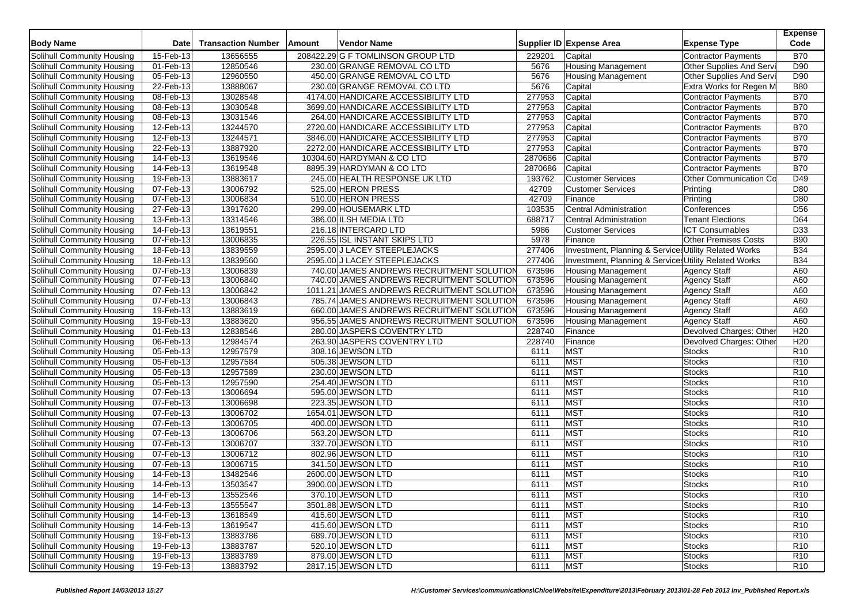| <b>Body Name</b>                  | <b>Date</b>  | <b>Transaction Number</b> | Amount | Vendor Name                                |         | Supplier ID Expense Area                              | <b>Expense Type</b>        | <b>Expense</b><br>Code |
|-----------------------------------|--------------|---------------------------|--------|--------------------------------------------|---------|-------------------------------------------------------|----------------------------|------------------------|
| Solihull Community Housing        | 15-Feb-13    | 13656555                  |        | 208422.29 G F TOMLINSON GROUP LTD          | 229201  | Capital                                               | <b>Contractor Payments</b> | <b>B70</b>             |
| Solihull Community Housing        | 01-Feb-13    | 12850546                  |        | 230.00 GRANGE REMOVAL CO LTD               | 5676    | <b>Housing Management</b>                             | Other Supplies And Servi   | D90                    |
| Solihull Community Housing        | 05-Feb-13    | 12960550                  |        | 450.00 GRANGE REMOVAL CO LTD               | 5676    | <b>Housing Management</b>                             | Other Supplies And Servi   | D90                    |
| Solihull Community Housing        | 22-Feb-13    | 13888067                  |        | 230.00 GRANGE REMOVAL CO LTD               | 5676    | Capital                                               | Extra Works for Regen M    | <b>B80</b>             |
| Solihull Community Housing        | 08-Feb-13    | 13028548                  |        | 4174.00 HANDICARE ACCESSIBILITY LTD        | 277953  | Capital                                               | <b>Contractor Payments</b> | <b>B70</b>             |
| Solihull Community Housing        | 08-Feb-13    | 13030548                  |        | 3699.00 HANDICARE ACCESSIBILITY LTD        | 277953  | Capital                                               | Contractor Payments        | <b>B70</b>             |
| Solihull Community Housing        | 08-Feb-13    | 13031546                  |        | 264.00 HANDICARE ACCESSIBILITY LTD         | 277953  | Capital                                               | <b>Contractor Payments</b> | <b>B70</b>             |
| Solihull Community Housing        | 12-Feb-13    | 13244570                  |        | 2720.00 HANDICARE ACCESSIBILITY LTD        | 277953  | Capital                                               | <b>Contractor Payments</b> | <b>B70</b>             |
| Solihull Community Housing        | 12-Feb-13    | 13244571                  |        | 3846.00 HANDICARE ACCESSIBILITY LTD        | 277953  | Capital                                               | <b>Contractor Payments</b> | <b>B70</b>             |
| Solihull Community Housing        | 22-Feb-13    | 13887920                  |        | 2272.00 HANDICARE ACCESSIBILITY LTD        | 277953  | Capital                                               | <b>Contractor Payments</b> | <b>B70</b>             |
| Solihull Community Housing        | 14-Feb-13    | 13619546                  |        | 10304.60 HARDYMAN & CO LTD                 | 2870686 | Capital                                               | <b>Contractor Payments</b> | <b>B70</b>             |
| Solihull Community Housing        | 14-Feb-13    | 13619548                  |        | 8895.39 HARDYMAN & CO LTD                  | 2870686 | Capital                                               | <b>Contractor Payments</b> | <b>B70</b>             |
| Solihull Community Housing        | 19-Feb-13    | 13883617                  |        | 245.00 HEALTH RESPONSE UK LTD              | 193762  | <b>Customer Services</b>                              | Other Communication Co     | D49                    |
| Solihull Community Housing        | 07-Feb-13    | 13006792                  |        | 525.00 HERON PRESS                         | 42709   | <b>Customer Services</b>                              | Printing                   | D80                    |
| <b>Solihull Community Housing</b> | 07-Feb-13    | 13006834                  |        | 510.00 HERON PRESS                         | 42709   | Finance                                               | Printing                   | D80                    |
| Solihull Community Housing        | 27-Feb-13    | 13917620                  |        | 299.00 HOUSEMARK LTD                       | 103535  | Central Administration                                | Conferences                | D <sub>56</sub>        |
| Solihull Community Housing        | 13-Feb-13    | 13314546                  |        | 386.00 ILSH MEDIA LTD                      | 688717  | <b>Central Administration</b>                         | <b>Tenant Elections</b>    | D64                    |
| Solihull Community Housing        | 14-Feb-13    | 13619551                  |        | 216.18 INTERCARD LTD                       | 5986    | <b>Customer Services</b>                              | <b>ICT Consumables</b>     | D33                    |
| Solihull Community Housing        | 07-Feb-13    | 13006835                  |        | 226.55 ISL INSTANT SKIPS LTD               | 5978    | Finance                                               | Other Premises Costs       | <b>B90</b>             |
| Solihull Community Housing        | 18-Feb-13    | 13839559                  |        | 2595.00 J LACEY STEEPLEJACKS               | 277406  | Investment, Planning & Services Utility Related Works |                            | <b>B34</b>             |
| Solihull Community Housing        | 18-Feb-13    | 13839560                  |        | 2595.00 J LACEY STEEPLEJACKS               | 277406  | Investment, Planning & Services Utility Related Works |                            | <b>B34</b>             |
| <b>Solihull Community Housing</b> | 07-Feb-13    | 13006839                  |        | 740.00 JAMES ANDREWS RECRUITMENT SOLUTION  | 673596  | <b>Housing Management</b>                             | <b>Agency Staff</b>        | A60                    |
| Solihull Community Housing        | 07-Feb-13    | 13006840                  |        | 740.00 JAMES ANDREWS RECRUITMENT SOLUTION  | 673596  | <b>Housing Management</b>                             | <b>Agency Staff</b>        | A60                    |
| Solihull Community Housing        | 07-Feb-13    | 13006842                  |        | 1011.21 JAMES ANDREWS RECRUITMENT SOLUTION | 673596  | <b>Housing Management</b>                             | <b>Agency Staff</b>        | A60                    |
| Solihull Community Housing        | 07-Feb-13    | 13006843                  |        | 785.74 JAMES ANDREWS RECRUITMENT SOLUTION  | 673596  | <b>Housing Management</b>                             | <b>Agency Staff</b>        | A60                    |
| Solihull Community Housing        | 19-Feb-13    | 13883619                  |        | 660.00 JAMES ANDREWS RECRUITMENT SOLUTION  | 673596  | <b>Housing Management</b>                             | <b>Agency Staff</b>        | A60                    |
| Solihull Community Housing        | 19-Feb-13    | 13883620                  |        | 956.55 JAMES ANDREWS RECRUITMENT SOLUTION  | 673596  | <b>Housing Management</b>                             | <b>Agency Staff</b>        | A60                    |
| Solihull Community Housing        | 01-Feb-13    | 12838546                  |        | 280.00 JASPERS COVENTRY LTD                | 228740  | Finance                                               | Devolved Charges: Other    | H <sub>20</sub>        |
| Solihull Community Housing        | 06-Feb-13    | 12984574                  |        | 263.90 JASPERS COVENTRY LTD                | 228740  | Finance                                               | Devolved Charges: Other    | H20                    |
| Solihull Community Housing        | 05-Feb-13    | 12957579                  |        | 308.16 JEWSON LTD                          | 6111    | <b>MST</b>                                            | <b>Stocks</b>              | R10                    |
| Solihull Community Housing        | 05-Feb-13    | 12957584                  |        | 505.38 JEWSON LTD                          | 6111    | MST                                                   | <b>Stocks</b>              | R <sub>10</sub>        |
| Solihull Community Housing        | 05-Feb-13    | 12957589                  |        | 230.00 JEWSON LTD                          | 6111    | <b>MST</b>                                            | <b>Stocks</b>              | R <sub>10</sub>        |
| Solihull Community Housing        | 05-Feb-13    | 12957590                  |        | 254.40 JEWSON LTD                          | 6111    | MST                                                   | <b>Stocks</b>              | R <sub>10</sub>        |
| Solihull Community Housing        | 07-Feb-13    | 13006694                  |        | 595.00 JEWSON LTD                          | 6111    | MST                                                   | <b>Stocks</b>              | R <sub>10</sub>        |
| Solihull Community Housing        | 07-Feb-13    | 13006698                  |        | 223.35 JEWSON LTD                          | 6111    | MST                                                   | <b>Stocks</b>              | R <sub>10</sub>        |
| Solihull Community Housing        | 07-Feb-13    | 13006702                  |        | 1654.01 JEWSON LTD                         | 6111    | <b>MST</b>                                            | <b>Stocks</b>              | R <sub>10</sub>        |
| Solihull Community Housing        | 07-Feb-13    | 13006705                  |        | 400.00 JEWSON LTD                          | 6111    | <b>MST</b>                                            | <b>Stocks</b>              | R <sub>10</sub>        |
| Solihull Community Housing        | 07-Feb-13    | 13006706                  |        | 563.20 JEWSON LTD                          | 6111    | MST                                                   | <b>Stocks</b>              | R <sub>10</sub>        |
| Solihull Community Housing        | 07-Feb-13    | 13006707                  |        | 332.70 JEWSON LTD                          | 6111    | <b>MST</b>                                            | <b>Stocks</b>              | R <sub>10</sub>        |
| Solihull Community Housing        | 07-Feb-13    | 13006712                  |        | 802.96 JEWSON LTD                          | 6111    | <b>MST</b>                                            | <b>Stocks</b>              | R <sub>10</sub>        |
| Solihull Community Housing        | 07-Feb-13    | 13006715                  |        | 341.50 JEWSON LTD                          | 6111    | <b>MST</b>                                            | <b>Stocks</b>              | R <sub>10</sub>        |
| Solihull Community Housing        | 14-Feb-13    | 13482546                  |        | 2600.00 JEWSON LTD                         | 6111    | MST                                                   | <b>Stocks</b>              | R <sub>10</sub>        |
| Solihull Community Housing        | 14-Feb-13    | 13503547                  |        | 3900.00 JEWSON LTD                         | 6111    | <b>MST</b>                                            | <b>Stocks</b>              | R <sub>10</sub>        |
| Solihull Community Housing        | 14-Feb-13    | 13552546                  |        | 370.10 JEWSON LTD                          | 6111    | <b>MST</b>                                            | <b>Stocks</b>              | R <sub>10</sub>        |
| Solihull Community Housing        | 14-Feb-13    | 13555547                  |        | 3501.88 JEWSON LTD                         | 6111    | <b>MST</b>                                            | <b>Stocks</b>              | R <sub>10</sub>        |
| Solihull Community Housing        | 14-Feb-13    | 13618549                  |        | 415.60 JEWSON LTD                          | 6111    | <b>MST</b>                                            | <b>Stocks</b>              | R <sub>10</sub>        |
| Solihull Community Housing        | 14-Feb-13    | 13619547                  |        | 415.60 JEWSON LTD                          | 6111    | <b>MST</b>                                            | Stocks                     | R <sub>10</sub>        |
| Solihull Community Housing        | 19-Feb-13    | 13883786                  |        | 689.70 JEWSON LTD                          | 6111    | <b>MST</b>                                            | <b>Stocks</b>              | R <sub>10</sub>        |
| Solihull Community Housing        | 19-Feb-13    | 13883787                  |        | 520.10 JEWSON LTD                          | 6111    | <b>MST</b>                                            | Stocks                     | R <sub>10</sub>        |
| Solihull Community Housing        | 19-Feb-13    | 13883789                  |        | 879.00 JEWSON LTD                          | 6111    | MST                                                   | Stocks                     | R <sub>10</sub>        |
| Solihull Community Housing        | $19$ -Feb-13 | 13883792                  |        | 2817.15 JEWSON LTD                         | 6111    | <b>MST</b>                                            | <b>Stocks</b>              | R <sub>10</sub>        |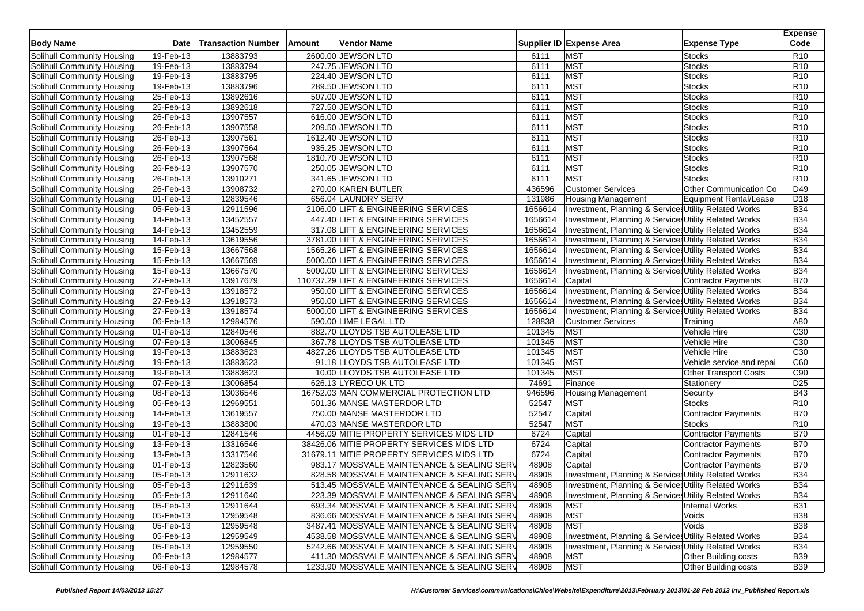| Solihull Community Housing<br>19-Feb-13<br>13883793<br>2600.00 JEWSON LTD<br><b>MST</b><br>6111<br>Stocks                                                              | R <sub>10</sub> |
|------------------------------------------------------------------------------------------------------------------------------------------------------------------------|-----------------|
| <b>MST</b><br>19-Feb-13<br>13883794<br>247.75 JEWSON LTD<br>6111<br>Solihull Community Housing<br><b>Stocks</b>                                                        | R <sub>10</sub> |
| <b>MST</b><br>19-Feb-13<br>13883795<br>224.40 JEWSON LTD<br><b>Stocks</b><br>Solihull Community Housing<br>6111                                                        | R <sub>10</sub> |
| <b>MST</b><br>19-Feb-13<br>13883796<br>289.50 JEWSON LTD<br>6111<br><b>Stocks</b><br>Solihull Community Housing                                                        | R <sub>10</sub> |
| <b>MST</b><br>Solihull Community Housing<br>25-Feb-13<br>13892616<br>507.00 JEWSON LTD<br>6111<br><b>Stocks</b>                                                        | R <sub>10</sub> |
| MST<br>25-Feb-13<br>13892618<br>727.50 JEWSON LTD<br>Solihull Community Housing<br>6111<br><b>Stocks</b>                                                               | R <sub>10</sub> |
| MST<br>26-Feb-13<br>13907557<br>616.00 JEWSON LTD<br>6111<br>Stocks<br>Solihull Community Housing                                                                      | R <sub>10</sub> |
| 13907558<br><b>MST</b><br>26-Feb-13<br>209.50 JEWSON LTD<br>6111<br>Solihull Community Housing<br><b>Stocks</b>                                                        | R <sub>10</sub> |
| MST<br>26-Feb-13<br>13907561<br>1612.40 JEWSON LTD<br><b>Stocks</b><br>Solihull Community Housing<br>6111                                                              | R <sub>10</sub> |
| <b>MST</b><br>Solihull Community Housing<br>26-Feb-13<br>13907564<br>935.25 JEWSON LTD<br>6111<br>Stocks                                                               | R <sub>10</sub> |
| <b>MST</b><br>26-Feb-13<br>13907568<br>1810.70 JEWSON LTD<br>6111<br>Solihull Community Housing<br><b>Stocks</b>                                                       | R <sub>10</sub> |
| MST<br>$26$ -Feb-13<br>13907570<br>250.05 JEWSON LTD<br><b>Stocks</b><br>Solihull Community Housing<br>6111                                                            | R <sub>10</sub> |
| MST<br>26-Feb-13<br>13910271<br>341.65 JEWSON LTD<br>6111<br>Stocks<br>Solihull Community Housing                                                                      | R <sub>10</sub> |
| 13908732<br>26-Feb-13<br>270.00 KAREN BUTLER<br>436596<br><b>Customer Services</b><br>Other Communication Co<br>Solihull Community Housing                             | D49             |
| 01-Feb-13<br>12839546<br>656.04 LAUNDRY SERV<br>131986<br>Solihull Community Housing<br><b>Housing Management</b><br>Equipment Rental/Lease                            | D <sub>18</sub> |
| 05-Feb-13<br>12911596<br>2106.00 LIFT & ENGINEERING SERVICES<br>1656614<br>Investment, Planning & Services Utility Related Works<br>Solihull Community Housing         | <b>B34</b>      |
| 13452557<br>1656614<br>Solihull Community Housing<br>14-Feb-13<br>447.40 LIFT & ENGINEERING SERVICES<br>Investment, Planning & Services Utility Related Works          | <b>B34</b>      |
| 1656614<br>14-Feb-13<br>13452559<br>317.08 LIFT & ENGINEERING SERVICES<br>Investment, Planning & Services Utility Related Works<br>Solihull Community Housing          | <b>B34</b>      |
| 14-Feb-13<br>13619556<br>3781.00 LIFT & ENGINEERING SERVICES<br>1656614<br>Investment, Planning & Services Utility Related Works<br>Solihull Community Housing         | <b>B34</b>      |
| 13667568<br>1656614<br>Investment, Planning & Services Utility Related Works<br>Solihull Community Housing<br>15-Feb-13<br>1565.26 LIFT & ENGINEERING SERVICES         | <b>B34</b>      |
| 13667569<br>1656614<br>Solihull Community Housing<br>15-Feb-13<br>5000.00 LIFT & ENGINEERING SERVICES<br>Investment, Planning & Services Utility Related Works         | <b>B34</b>      |
| 13667570<br>1656614<br>Solihull Community Housing<br>15-Feb-13<br>5000.00 LIFT & ENGINEERING SERVICES<br>Investment, Planning & Services Utility Related Works         | <b>B34</b>      |
| 27-Feb-13<br>13917679<br>1656614<br>Capital<br>Contractor Payments<br>Solihull Community Housing<br>110737.29 LIFT & ENGINEERING SERVICES                              | <b>B70</b>      |
| 27-Feb-13<br>13918572<br>1656614<br>Solihull Community Housing<br>950.00 LIFT & ENGINEERING SERVICES<br>Investment, Planning & Services Utility Related Works          | <b>B34</b>      |
| 27-Feb-13<br>13918573<br>1656614<br>Solihull Community Housing<br>950.00 LIFT & ENGINEERING SERVICES<br>Investment, Planning & Services Utility Related Works          | <b>B34</b>      |
| 27-Feb-13<br>13918574<br>1656614<br>Investment, Planning & Services Utility Related Works<br>Solihull Community Housing<br>5000.00 LIFT & ENGINEERING SERVICES         | <b>B34</b>      |
| 128838<br>06-Feb-13<br>12984576<br>590.00 LIME LEGAL LTD<br><b>Customer Services</b><br>Solihull Community Housing<br>Training                                         | A80             |
| $01$ -Feb-13<br>12840546<br>101345<br><b>MST</b><br>Solihull Community Housing<br>882.70 LLOYDS TSB AUTOLEASE LTD<br>Vehicle Hire                                      | C30             |
| 13006845<br><b>MST</b><br>07-Feb-13<br>367.78 LLOYDS TSB AUTOLEASE LTD<br>101345<br>Vehicle Hire<br>Solihull Community Housing                                         | C30             |
| 13883623<br>4827.26 LLOYDS TSB AUTOLEASE LTD<br>101345<br><b>MST</b><br>Vehicle Hire<br>Solihull Community Housing<br>19-Feb-13                                        | C <sub>30</sub> |
| <b>MST</b><br>19-Feb-13<br>13883623<br>101345<br>Solihull Community Housing<br>91.18 LLOYDS TSB AUTOLEASE LTD<br>Vehicle service and repai                             | C60             |
| 13883623<br><b>MST</b><br>19-Feb-13<br>10.00 LLOYDS TSB AUTOLEASE LTD<br>101345<br>Solihull Community Housing<br><b>Other Transport Costs</b>                          | C90             |
| 07-Feb-13<br>Solihull Community Housing<br>13006854<br>626.13 LYRECO UK LTD<br>74691<br>Finance<br>Stationery                                                          | D <sub>25</sub> |
| 16752.03 MAN COMMERCIAL PROTECTION LTD<br>Solihull Community Housing<br>08-Feb-13<br>13036546<br>946596<br><b>Housing Management</b><br>Security                       | <b>B43</b>      |
| 12969551<br>52547<br><b>MST</b><br>05-Feb-13<br>501.36 MANSE MASTERDOR LTD<br><b>Stocks</b><br>Solihull Community Housing                                              | R <sub>10</sub> |
| 14-Feb-13<br>13619557<br>750.00 MANSE MASTERDOR LTD<br>52547<br>Capital<br><b>Solihull Community Housing</b><br>Contractor Payments                                    | <b>B70</b>      |
| <b>MST</b><br>Solihull Community Housing<br>13883800<br>52547<br>19-Feb-13<br>470.03 MANSE MASTERDOR LTD<br><b>Stocks</b>                                              | R <sub>10</sub> |
| 01-Feb-13<br>12841546<br>4456.09 MITIE PROPERTY SERVICES MIDS LTD<br>6724<br>Capital<br>Solihull Community Housing<br><b>Contractor Payments</b>                       | <b>B70</b>      |
| Solihull Community Housing<br>13-Feb-13<br>13316546<br>6724<br><b>Contractor Payments</b><br>38426.06 MITIE PROPERTY SERVICES MIDS LTD<br>Capital                      | <b>B70</b>      |
| Solihull Community Housing<br>13317546<br>31679.11 MITIE PROPERTY SERVICES MIDS LTD<br>6724<br>Capital<br>13-Feb-13<br>Contractor Payments                             | <b>B70</b>      |
| 01-Feb-13<br>12823560<br>983.17 MOSSVALE MAINTENANCE & SEALING SERV<br>48908<br>Solihull Community Housing<br>Capital<br>Contractor Payments                           | <b>B70</b>      |
| $05$ -Feb-13<br>Solihull Community Housing<br>12911632<br>828.58 MOSSVALE MAINTENANCE & SEALING SERV<br>48908<br>Investment, Planning & Services Utility Related Works | <b>B34</b>      |
| 05-Feb-13<br>12911639<br>513.45 MOSSVALE MAINTENANCE & SEALING SERV<br>48908<br>Investment, Planning & Services Utility Related Works<br>Solihull Community Housing    | <b>B34</b>      |
| Investment, Planning & Services Utility Related Works<br>Solihull Community Housing<br>05-Feb-13<br>12911640<br>223.39 MOSSVALE MAINTENANCE & SEALING SERV<br>48908    | <b>B34</b>      |
| Solihull Community Housing<br>05-Feb-13<br>12911644<br>48908<br><b>MST</b><br>Internal Works<br>693.34 MOSSVALE MAINTENANCE & SEALING SERV                             | <b>B31</b>      |
| Solihull Community Housing<br>05-Feb-13<br>48908<br><b>MST</b><br>12959548<br>836.66 MOSSVALE MAINTENANCE & SEALING SERV<br>Voids                                      | <b>B38</b>      |
| Solihull Community Housing<br>05-Feb-13<br>12959548<br>3487.41 MOSSVALE MAINTENANCE & SEALING SERV<br>48908<br><b>MST</b><br>Voids                                     | <b>B38</b>      |
| Solihull Community Housing<br>05-Feb-13<br>Investment, Planning & Services Utility Related Works<br>12959549<br>4538.58 MOSSVALE MAINTENANCE & SEALING SERV<br>48908   | <b>B34</b>      |
| Solihull Community Housing<br>05-Feb-13<br>12959550<br>Investment, Planning & Services Utility Related Works<br>5242.66 MOSSVALE MAINTENANCE & SEALING SERV<br>48908   | <b>B34</b>      |
| Solihull Community Housing<br>06-Feb-13<br>12984577<br>411.30 MOSSVALE MAINTENANCE & SEALING SERV<br>48908<br>MST<br>Other Building costs                              | <b>B39</b>      |
| Solihull Community Housing<br>06-Feb-13<br><b>MST</b><br>Other Building costs<br>12984578<br>1233.90 MOSSVALE MAINTENANCE & SEALING SERV<br>48908                      | <b>B39</b>      |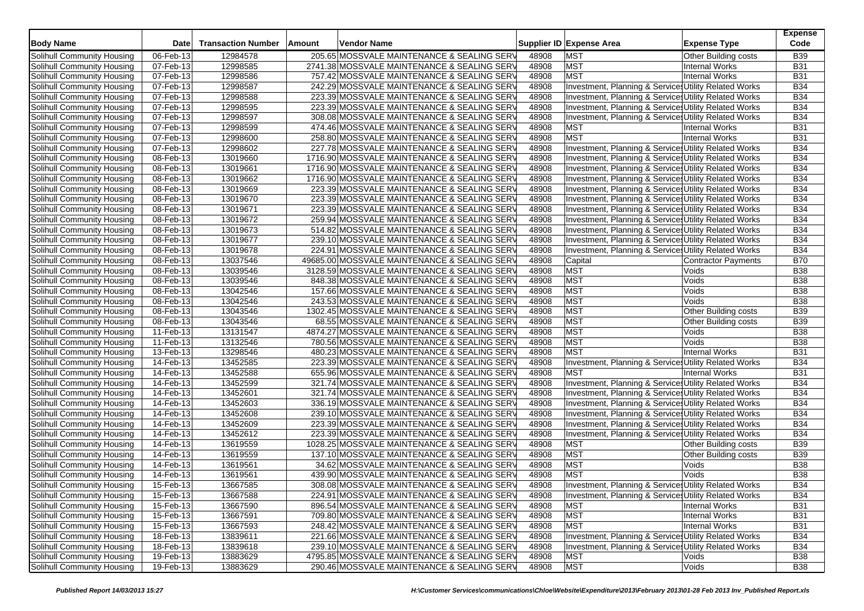| <b>Body Name</b>                  | <b>Date</b>             | <b>Transaction Number</b> | Amount | <b>Vendor Name</b>                           |       | Supplier ID Expense Area                              | <b>Expense Type</b>         | <b>Expense</b><br>Code |
|-----------------------------------|-------------------------|---------------------------|--------|----------------------------------------------|-------|-------------------------------------------------------|-----------------------------|------------------------|
| Solihull Community Housing        | 06-Feb-13               | 12984578                  |        | 205.65 MOSSVALE MAINTENANCE & SEALING SERV   | 48908 | <b>MST</b>                                            | Other Building costs        | <b>B39</b>             |
| Solihull Community Housing        | 07-Feb-13               | 12998585                  |        | 2741.38 MOSSVALE MAINTENANCE & SEALING SERV  | 48908 | <b>MST</b>                                            | <b>Internal Works</b>       | <b>B31</b>             |
| Solihull Community Housing        | 07-Feb-13               | 12998586                  |        | 757.42 MOSSVALE MAINTENANCE & SEALING SERV   | 48908 | <b>MST</b>                                            | <b>Internal Works</b>       | <b>B31</b>             |
| Solihull Community Housing        | 07-Feb-13               | 12998587                  |        | 242.29 MOSSVALE MAINTENANCE & SEALING SERV   | 48908 | Investment, Planning & Services Utility Related Works |                             | <b>B34</b>             |
| Solihull Community Housing        | 07-Feb-13               | 12998588                  |        | 223.39 MOSSVALE MAINTENANCE & SEALING SERV   | 48908 | Investment, Planning & Service, Utility Related Works |                             | <b>B34</b>             |
| Solihull Community Housing        | 07-Feb-13               | 12998595                  |        | 223.39 MOSSVALE MAINTENANCE & SEALING SERV   | 48908 | Investment, Planning & Services Utility Related Works |                             | <b>B34</b>             |
| Solihull Community Housing        | 07-Feb-13               | 12998597                  |        | 308.08 MOSSVALE MAINTENANCE & SEALING SERV   | 48908 | Investment, Planning & Service, Utility Related Works |                             | <b>B34</b>             |
| Solihull Community Housing        | 07-Feb-13               | 12998599                  |        | 474.46 MOSSVALE MAINTENANCE & SEALING SERV   | 48908 | <b>MST</b>                                            | <b>Internal Works</b>       | <b>B31</b>             |
| Solihull Community Housing        | 07-Feb-13               | 12998600                  |        | 258.80 MOSSVALE MAINTENANCE & SEALING SERV   | 48908 | <b>MST</b>                                            | <b>Internal Works</b>       | <b>B31</b>             |
| Solihull Community Housing        | 07-Feb-13               | 12998602                  |        | 227.78 MOSSVALE MAINTENANCE & SEALING SERV   | 48908 | Investment, Planning & Services Utility Related Works |                             | <b>B34</b>             |
| Solihull Community Housing        | 08-Feb-13               | 13019660                  |        | 1716.90 MOSSVALE MAINTENANCE & SEALING SERV  | 48908 | Investment, Planning & Services Utility Related Works |                             | <b>B34</b>             |
| Solihull Community Housing        | 08-Feb-13               | 13019661                  |        | 1716.90 MOSSVALE MAINTENANCE & SEALING SERV  | 48908 | Investment, Planning & Services Utility Related Works |                             | <b>B34</b>             |
| Solihull Community Housing        | 08-Feb-13               | 13019662                  |        | 1716.90 MOSSVALE MAINTENANCE & SEALING SERV  | 48908 | Investment, Planning & Services Utility Related Works |                             | <b>B34</b>             |
| Solihull Community Housing        | 08-Feb-13               | 13019669                  |        | 223.39 MOSSVALE MAINTENANCE & SEALING SERV   | 48908 | Investment, Planning & Service, Utility Related Works |                             | <b>B34</b>             |
| Solihull Community Housing        | 08-Feb-13               | 13019670                  |        | 223.39 MOSSVALE MAINTENANCE & SEALING SERV   | 48908 | Investment, Planning & Services Utility Related Works |                             | <b>B34</b>             |
| Solihull Community Housing        | 08-Feb-13               | 13019671                  |        | 223.39 MOSSVALE MAINTENANCE & SEALING SERV   | 48908 | Investment, Planning & Services Utility Related Works |                             | <b>B34</b>             |
| Solihull Community Housing        | $\overline{08}$ -Feb-13 | 13019672                  |        | 259.94 MOSSVALE MAINTENANCE & SEALING SERV   | 48908 | Investment, Planning & Services Utility Related Works |                             | <b>B34</b>             |
| Solihull Community Housing        | 08-Feb-13               | 13019673                  |        | 514.82 MOSSVALE MAINTENANCE & SEALING SERV   | 48908 | Investment, Planning & Services Utility Related Works |                             | <b>B34</b>             |
| Solihull Community Housing        | 08-Feb-13               | 13019677                  |        | 239.10 MOSSVALE MAINTENANCE & SEALING SERV   | 48908 | Investment, Planning & Service Utility Related Works  |                             | <b>B34</b>             |
| Solihull Community Housing        | 08-Feb-13               | 13019678                  |        | 224.91 MOSSVALE MAINTENANCE & SEALING SERV   | 48908 | Investment, Planning & Services Utility Related Works |                             | <b>B34</b>             |
| Solihull Community Housing        | 08-Feb-13               | 13037546                  |        | 49685.00 MOSSVALE MAINTENANCE & SEALING SERV | 48908 | Capital                                               | Contractor Payments         | <b>B70</b>             |
| Solihull Community Housing        | 08-Feb-13               | 13039546                  |        | 3128.59 MOSSVALE MAINTENANCE & SEALING SERV  | 48908 | <b>MST</b>                                            | Voids                       | <b>B38</b>             |
| Solihull Community Housing        | 08-Feb-13               | 13039546                  |        | 848.38 MOSSVALE MAINTENANCE & SEALING SERV   | 48908 | <b>MST</b>                                            | Voids                       | <b>B38</b>             |
| Solihull Community Housing        | 08-Feb-13               | 13042546                  |        | 157.66 MOSSVALE MAINTENANCE & SEALING SERV   | 48908 | <b>MST</b>                                            | Voids                       | <b>B38</b>             |
| Solihull Community Housing        | 08-Feb-13               | 13042546                  |        | 243.53 MOSSVALE MAINTENANCE & SEALING SERV   | 48908 | <b>MST</b>                                            | Voids                       | <b>B38</b>             |
| Solihull Community Housing        | 08-Feb-13               | 13043546                  |        | 1302.45 MOSSVALE MAINTENANCE & SEALING SERV  | 48908 | <b>MST</b>                                            | Other Building costs        | <b>B39</b>             |
| Solihull Community Housing        | $08$ -Feb-13            | 13043546                  |        | 68.55 MOSSVALE MAINTENANCE & SEALING SERV    | 48908 | <b>MST</b>                                            | <b>Other Building costs</b> | <b>B39</b>             |
| Solihull Community Housing        | 11-Feb-13               | 13131547                  |        | 4874.27 MOSSVALE MAINTENANCE & SEALING SERV  | 48908 | <b>MST</b>                                            | Voids                       | <b>B38</b>             |
| Solihull Community Housing        | 11-Feb-13               | 13132546                  |        | 780.56 MOSSVALE MAINTENANCE & SEALING SERV   | 48908 | <b>MST</b>                                            | Voids                       | <b>B38</b>             |
| Solihull Community Housing        | 13-Feb-13               | 13298546                  |        | 480.23 MOSSVALE MAINTENANCE & SEALING SERV   | 48908 | <b>MST</b>                                            | <b>Internal Works</b>       | <b>B31</b>             |
| Solihull Community Housing        | 14-Feb-13               | 13452585                  |        | 223.39 MOSSVALE MAINTENANCE & SEALING SERV   | 48908 | Investment, Planning & Services Utility Related Works |                             | <b>B34</b>             |
| Solihull Community Housing        | 14-Feb-13               | 13452588                  |        | 655.96 MOSSVALE MAINTENANCE & SEALING SERV   | 48908 | <b>MST</b>                                            | <b>Internal Works</b>       | <b>B31</b>             |
| Solihull Community Housing        | $14$ -Feb-13            | 13452599                  |        | 321.74 MOSSVALE MAINTENANCE & SEALING SERV   | 48908 | Investment, Planning & Services Utility Related Works |                             | <b>B34</b>             |
| Solihull Community Housing        | 14-Feb-13               | 13452601                  |        | 321.74 MOSSVALE MAINTENANCE & SEALING SERV   | 48908 | Investment, Planning & Services Utility Related Works |                             | <b>B34</b>             |
| Solihull Community Housing        | 14-Feb-13               | 13452603                  |        | 336.19 MOSSVALE MAINTENANCE & SEALING SERV   | 48908 | Investment, Planning & Services Utility Related Works |                             | <b>B34</b>             |
| Solihull Community Housing        | 14-Feb-13               | 13452608                  |        | 239.10 MOSSVALE MAINTENANCE & SEALING SERV   | 48908 | Investment, Planning & Services Utility Related Works |                             | <b>B34</b>             |
| Solihull Community Housing        | 14-Feb-13               | 13452609                  |        | 223.39 MOSSVALE MAINTENANCE & SEALING SERV   | 48908 | Investment, Planning & Services Utility Related Works |                             | <b>B34</b>             |
| Solihull Community Housing        | 14-Feb-13               | 13452612                  |        | 223.39 MOSSVALE MAINTENANCE & SEALING SERV   | 48908 | Investment, Planning & Service Utility Related Works  |                             | <b>B34</b>             |
| Solihull Community Housing        | 14-Feb-13               | 13619559                  |        | 1028.25 MOSSVALE MAINTENANCE & SEALING SERV  | 48908 | <b>MST</b>                                            | Other Building costs        | <b>B39</b>             |
| Solihull Community Housing        | 14-Feb-13               | 13619559                  |        | 137.10 MOSSVALE MAINTENANCE & SEALING SERV   | 48908 | <b>MST</b>                                            | Other Building costs        | <b>B39</b>             |
| Solihull Community Housing        | 14-Feb-13               | 13619561                  |        | 34.62 MOSSVALE MAINTENANCE & SEALING SERV    | 48908 | <b>MST</b>                                            | Voids                       | <b>B38</b>             |
| Solihull Community Housing        | 14-Feb-13               | 13619561                  |        | 439.90 MOSSVALE MAINTENANCE & SEALING SERV   | 48908 | <b>MST</b>                                            | Voids                       | <b>B38</b>             |
| Solihull Community Housing        | 15-Feb-13               | 13667585                  |        | 308.08 MOSSVALE MAINTENANCE & SEALING SERV   | 48908 | Investment, Planning & Service Utility Related Works  |                             | <b>B34</b>             |
| Solihull Community Housing        | 15-Feb-13               | 13667588                  |        | 224.91 MOSSVALE MAINTENANCE & SEALING SERV   | 48908 | Investment, Planning & Services Utility Related Works |                             | <b>B34</b>             |
| Solihull Community Housing        | 15-Feb-13               | 13667590                  |        | 896.54 MOSSVALE MAINTENANCE & SEALING SERV   | 48908 | <b>MST</b>                                            | Internal Works              | <b>B31</b>             |
| Solihull Community Housing        | 15-Feb-13               | 13667591                  |        | 709.80 MOSSVALE MAINTENANCE & SEALING SERV   | 48908 | <b>MST</b>                                            | Internal Works              | <b>B31</b>             |
| Solihull Community Housing        | 15-Feb-13               | 13667593                  |        | 248.42 MOSSVALE MAINTENANCE & SEALING SERV   | 48908 | <b>MST</b>                                            | Internal Works              | <b>B31</b>             |
| Solihull Community Housing        | 18-Feb-13               | 13839611                  |        | 221.66 MOSSVALE MAINTENANCE & SEALING SERV   | 48908 | Investment, Planning & Services Utility Related Works |                             | <b>B34</b>             |
| Solihull Community Housing        | 18-Feb-13               | 13839618                  |        | 239.10 MOSSVALE MAINTENANCE & SEALING SERV   | 48908 | Investment, Planning & Services Utility Related Works |                             | <b>B34</b>             |
| <b>Solihull Community Housing</b> | 19-Feb-13               | 13883629                  |        | 4795.85 MOSSVALE MAINTENANCE & SEALING SERV  | 48908 | <b>MST</b>                                            | Voids                       | <b>B38</b>             |
| Solihull Community Housing        | 19-Feb-13               | 13883629                  |        | 290.46 MOSSVALE MAINTENANCE & SEALING SERV   | 48908 | <b>MST</b>                                            | Voids                       | <b>B38</b>             |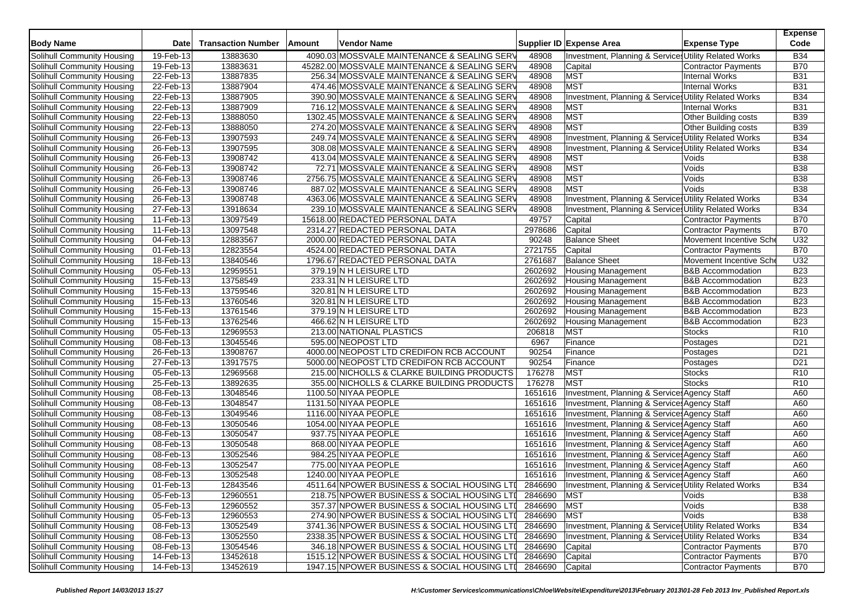| <b>Body Name</b>                  | <b>Date</b> | <b>Transaction Number</b> | Amount | <b>Vendor Name</b>                           |                 | Supplier ID Expense Area                                        | <b>Expense Type</b>          | <b>Expense</b><br>Code |
|-----------------------------------|-------------|---------------------------|--------|----------------------------------------------|-----------------|-----------------------------------------------------------------|------------------------------|------------------------|
| Solihull Community Housing        | 19-Feb-13   | 13883630                  |        | 4090.03 MOSSVALE MAINTENANCE & SEALING SERV  | 48908           | Investment, Planning & Services Utility Related Works           |                              | <b>B34</b>             |
| Solihull Community Housing        | 19-Feb-13   | 13883631                  |        | 45282.00 MOSSVALE MAINTENANCE & SEALING SERV | 48908           | Capital                                                         | <b>Contractor Payments</b>   | <b>B70</b>             |
| Solihull Community Housing        | 22-Feb-13   | 13887835                  |        | 256.34 MOSSVALE MAINTENANCE & SEALING SERV   | 48908           | <b>MST</b>                                                      | <b>Internal Works</b>        | <b>B31</b>             |
| Solihull Community Housing        | 22-Feb-13   | 13887904                  |        | 474.46 MOSSVALE MAINTENANCE & SEALING SERV   | 48908           | <b>MST</b>                                                      | Internal Works               | <b>B31</b>             |
| Solihull Community Housing        | 22-Feb-13   | 13887905                  |        | 390.90 MOSSVALE MAINTENANCE & SEALING SERV   | 48908           | Investment, Planning & Services Utility Related Works           |                              | <b>B34</b>             |
| Solihull Community Housing        | 22-Feb-13   | 13887909                  |        | 716.12 MOSSVALE MAINTENANCE & SEALING SERV   | 48908           | MST                                                             | <b>Internal Works</b>        | <b>B31</b>             |
| Solihull Community Housing        | 22-Feb-13   | 13888050                  |        | 1302.45 MOSSVALE MAINTENANCE & SEALING SERV  | 48908           | <b>MST</b>                                                      | Other Building costs         | <b>B39</b>             |
| Solihull Community Housing        | 22-Feb-13   | 13888050                  |        | 274.20 MOSSVALE MAINTENANCE & SEALING SERV   | 48908           | <b>MST</b>                                                      | Other Building costs         | <b>B39</b>             |
| Solihull Community Housing        | 26-Feb-13   | 13907593                  |        | 249.74 MOSSVALE MAINTENANCE & SEALING SERV   | 48908           | Investment, Planning & Services Utility Related Works           |                              | <b>B34</b>             |
| Solihull Community Housing        | 26-Feb-13   | 13907595                  |        | 308.08 MOSSVALE MAINTENANCE & SEALING SERV   | 48908           | Investment, Planning & Services Utility Related Works           |                              | <b>B34</b>             |
| Solihull Community Housing        | 26-Feb-13   | 13908742                  |        | 413.04 MOSSVALE MAINTENANCE & SEALING SERV   | 48908           | <b>MST</b>                                                      | Voids                        | <b>B38</b>             |
| Solihull Community Housing        | 26-Feb-13   | 13908742                  |        | 72.71 MOSSVALE MAINTENANCE & SEALING SERV    | 48908           | <b>MST</b>                                                      | Voids                        | <b>B38</b>             |
| Solihull Community Housing        | 26-Feb-13   | 13908746                  |        | 2756.75 MOSSVALE MAINTENANCE & SEALING SERV  | 48908           | <b>MST</b>                                                      | Voids                        | <b>B38</b>             |
| Solihull Community Housing        | 26-Feb-13   | 13908746                  |        | 887.02 MOSSVALE MAINTENANCE & SEALING SERV   | 48908           | <b>MST</b>                                                      | Voids                        | <b>B38</b>             |
| Solihull Community Housing        | 26-Feb-13   | 13908748                  |        | 4363.06 MOSSVALE MAINTENANCE & SEALING SERV  | 48908           | Investment, Planning & Services Utility Related Works           |                              | <b>B34</b>             |
| Solihull Community Housing        | 27-Feb-13   | 13918634                  |        | 239.10 MOSSVALE MAINTENANCE & SEALING SERV   | 48908           | Investment, Planning & Services Utility Related Works           |                              | <b>B34</b>             |
| Solihull Community Housing        | 11-Feb-13   | 13097549                  |        | 15618.00 REDACTED PERSONAL DATA              | 49757           | Capital                                                         | <b>Contractor Payments</b>   | <b>B70</b>             |
| Solihull Community Housing        | 11-Feb-13   | 13097548                  |        | 2314.27 REDACTED PERSONAL DATA               | 2978686         | Capital                                                         | <b>Contractor Payments</b>   | <b>B70</b>             |
| Solihull Community Housing        | 04-Feb-13   | 12883567                  |        | 2000.00 REDACTED PERSONAL DATA               | 90248           | <b>Balance Sheet</b>                                            | Movement Incentive Sche      | U32                    |
| Solihull Community Housing        | 01-Feb-13   | 12823554                  |        | 4524.00 REDACTED PERSONAL DATA               | 2721755         | Capital                                                         | Contractor Payments          | <b>B70</b>             |
| Solihull Community Housing        | 18-Feb-13   | 13840546                  |        | 1796.67 REDACTED PERSONAL DATA               | 2761687         | <b>Balance Sheet</b>                                            | Movement Incentive Sche      | U32                    |
| Solihull Community Housing        | 05-Feb-13   | 12959551                  |        | 379.19 N H LEISURE LTD                       | 2602692         | <b>Housing Management</b>                                       | <b>B&amp;B Accommodation</b> | <b>B23</b>             |
| Solihull Community Housing        | 15-Feb-13   | 13758549                  |        | 233.31 N H LEISURE LTD                       | 2602692         | <b>Housing Management</b>                                       | <b>B&amp;B</b> Accommodation | <b>B23</b>             |
| Solihull Community Housing        | 15-Feb-13   | 13759546                  |        | 320.81 N H LEISURE LTD                       | 2602692         | <b>Housing Management</b>                                       | <b>B&amp;B Accommodation</b> | <b>B23</b>             |
| Solihull Community Housing        | 15-Feb-13   | 13760546                  |        | 320.81 N H LEISURE LTD                       | 2602692         | <b>Housing Management</b>                                       | <b>B&amp;B Accommodation</b> | <b>B23</b>             |
| Solihull Community Housing        | 15-Feb-13   | 13761546                  |        | 379.19 N H LEISURE LTD                       | 2602692         | <b>Housing Management</b>                                       | <b>B&amp;B Accommodation</b> | <b>B23</b>             |
| Solihull Community Housing        | 15-Feb-13   | 13762546                  |        | 466.62 N H LEISURE LTD                       | 2602692         | <b>Housing Management</b>                                       | <b>B&amp;B Accommodation</b> | <b>B23</b>             |
| Solihull Community Housing        | 05-Feb-13   | 12969553                  |        | 213.00 NATIONAL PLASTICS                     | 206818          | <b>MST</b>                                                      | <b>Stocks</b>                | R <sub>10</sub>        |
| Solihull Community Housing        | 08-Feb-13   | 13045546                  |        | 595.00 NEOPOST LTD                           | 6967            | Finance                                                         | Postages                     | D <sub>21</sub>        |
| Solihull Community Housing        | 26-Feb-13   | 13908767                  |        | 4000.00 NEOPOST LTD CREDIFON RCB ACCOUNT     | 90254           | Finance                                                         | Postages                     | D <sub>21</sub>        |
| Solihull Community Housing        | 27-Feb-13   | 13917575                  |        | 5000.00 NEOPOST LTD CREDIFON RCB ACCOUNT     | 90254           | Finance                                                         | Postages                     | D <sub>21</sub>        |
| Solihull Community Housing        | 05-Feb-13   | 12969568                  |        | 215.00 NICHOLLS & CLARKE BUILDING PRODUCTS   | 176278          | <b>MST</b>                                                      | <b>Stocks</b>                | R <sub>10</sub>        |
| Solihull Community Housing        | 25-Feb-13   | 13892635                  |        | 355.00 NICHOLLS & CLARKE BUILDING PRODUCTS   | 176278          | <b>MST</b>                                                      | <b>Stocks</b>                | R <sub>10</sub>        |
| Solihull Community Housing        | 08-Feb-13   | 13048546                  |        | 1100.50 NIYAA PEOPLE                         | 1651616         | Investment, Planning & Service: Agency Staff                    |                              | A60                    |
| Solihull Community Housing        | 08-Feb-13   | 13048547                  |        | 1131.50 NIYAA PEOPLE                         | 1651616         | Investment, Planning & Services Agency Staff                    |                              | A60                    |
| Solihull Community Housing        | 08-Feb-13   | 13049546                  |        | 1116.00 NIYAA PEOPLE                         | 1651616         | Investment, Planning & Services Agency Staff                    |                              | A60                    |
| Solihull Community Housing        | 08-Feb-13   | 13050546                  |        | 1054.00 NIYAA PEOPLE                         | 1651616         | Investment, Planning & Service: Agency Staff                    |                              | A60                    |
| Solihull Community Housing        | 08-Feb-13   | 13050547                  |        | 937.75 NIYAA PEOPLE                          | 1651616         | Investment, Planning & Service: Agency Staff                    |                              | A60                    |
| Solihull Community Housing        | 08-Feb-13   | 13050548                  |        | 868.00 NIYAA PEOPLE                          | 1651616         | Investment, Planning & Service: Agency Staff                    |                              | A60                    |
| Solihull Community Housing        | 08-Feb-13   | 13052546                  |        | 984.25 NIYAA PEOPLE                          | 1651616         | Investment, Planning & Service: Agency Staff                    |                              | A60                    |
| Solihull Community Housing        | 08-Feb-13   | 13052547                  |        | 775.00 NIYAA PEOPLE                          | 1651616         | Investment, Planning & Services Agency Staff                    |                              | A60                    |
| Solihull Community Housing        | 08-Feb-13   | 13052548                  |        | 1240.00 NIYAA PEOPLE                         | 1651616         | Investment, Planning & Service: Agency Staff                    |                              | A60                    |
| Solihull Community Housing        | 01-Feb-13   | 12843546                  |        | 4511.64 NPOWER BUSINESS & SOCIAL HOUSING LTI |                 | 2846690   Investment, Planning & Services Utility Related Works |                              | <b>B34</b>             |
| Solihull Community Housing        | 05-Feb-13   | 12960551                  |        | 218.75 NPOWER BUSINESS & SOCIAL HOUSING LTI  | 2846690 MST     |                                                                 | Voids                        | <b>B38</b>             |
| Solihull Community Housing        | 05-Feb-13   | 12960552                  |        | 357.37 NPOWER BUSINESS & SOCIAL HOUSING LTI  | 2846690 MST     |                                                                 | Voids                        | <b>B38</b>             |
| Solihull Community Housing        | 05-Feb-13   | 12960553                  |        | 274.90 NPOWER BUSINESS & SOCIAL HOUSING LTI  | 2846690 MST     |                                                                 | Voids                        | <b>B38</b>             |
| Solihull Community Housing        | 08-Feb-13   | 13052549                  |        | 3741.36 NPOWER BUSINESS & SOCIAL HOUSING LTI | 2846690         | <b>Investment, Planning &amp; Service Utility Related Works</b> |                              | <b>B34</b>             |
| Solihull Community Housing        | 08-Feb-13   | 13052550                  |        | 2338.35 NPOWER BUSINESS & SOCIAL HOUSING LTI | 2846690         | Investment, Planning & Services Utility Related Works           |                              | <b>B34</b>             |
| Solihull Community Housing        | 08-Feb-13   | 13054546                  |        | 346.18 NPOWER BUSINESS & SOCIAL HOUSING LTI  | 2846690         | Capital                                                         | Contractor Payments          | <b>B70</b>             |
| <b>Solihull Community Housing</b> | 14-Feb-13   | 13452618                  |        | 1515.12 NPOWER BUSINESS & SOCIAL HOUSING LTI | 2846690         | Capital                                                         | Contractor Payments          | <b>B70</b>             |
| Solihull Community Housing        | 14-Feb-13   | 13452619                  |        | 1947.15 NPOWER BUSINESS & SOCIAL HOUSING LTI | 2846690 Capital |                                                                 | Contractor Payments          | <b>B70</b>             |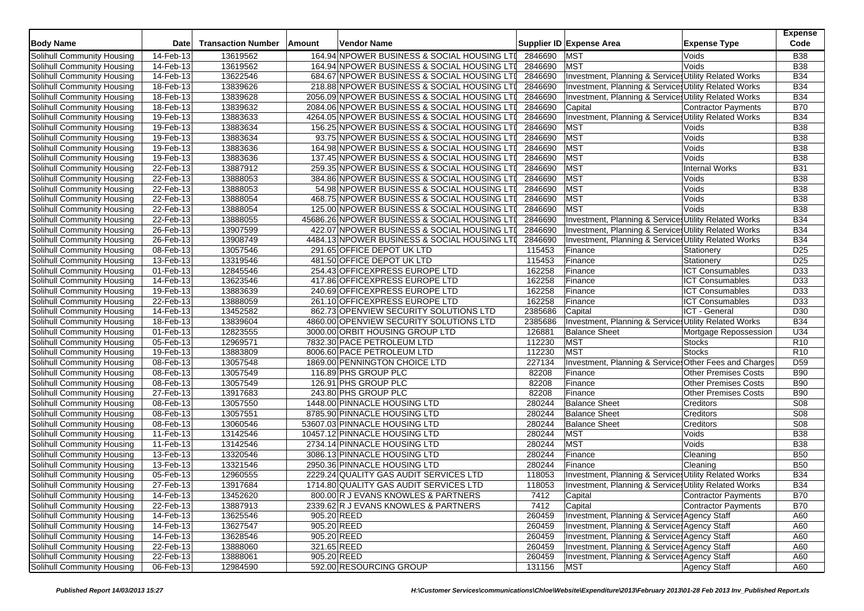| <b>Body Name</b>                  | <b>Date</b>  | <b>Transaction Number</b> | Amount      | <b>Vendor Name</b>                            |         | Supplier ID Expense Area                               | <b>Expense Type</b>         | <b>Expense</b><br>Code |
|-----------------------------------|--------------|---------------------------|-------------|-----------------------------------------------|---------|--------------------------------------------------------|-----------------------------|------------------------|
| Solihull Community Housing        | 14-Feb-13    | 13619562                  |             | 164.94 NPOWER BUSINESS & SOCIAL HOUSING LTI   | 2846690 | <b>MST</b>                                             | Voids                       | <b>B38</b>             |
| Solihull Community Housing        | 14-Feb-13    | 13619562                  |             | 164.94 NPOWER BUSINESS & SOCIAL HOUSING LTI   | 2846690 | <b>MST</b>                                             | Voids                       | <b>B38</b>             |
| Solihull Community Housing        | 14-Feb-13    | 13622546                  |             | 684.67 NPOWER BUSINESS & SOCIAL HOUSING LTI   | 2846690 | Investment, Planning & Services Utility Related Works  |                             | <b>B34</b>             |
| Solihull Community Housing        | 18-Feb-13    | 13839626                  |             | 218.88 NPOWER BUSINESS & SOCIAL HOUSING LTI   | 2846690 | Investment, Planning & Services Utility Related Works  |                             | <b>B34</b>             |
| Solihull Community Housing        | 18-Feb-13    | 13839628                  |             | 2056.09 NPOWER BUSINESS & SOCIAL HOUSING LTI  | 2846690 | Investment, Planning & Services Utility Related Works  |                             | <b>B34</b>             |
| Solihull Community Housing        | 18-Feb-13    | 13839632                  |             | 2084.06 NPOWER BUSINESS & SOCIAL HOUSING LTI  | 2846690 | Capital                                                | <b>Contractor Payments</b>  | <b>B70</b>             |
| Solihull Community Housing        | 19-Feb-13    | 13883633                  |             | 4264.05 NPOWER BUSINESS & SOCIAL HOUSING LTI  | 2846690 | Investment, Planning & Services Utility Related Works  |                             | <b>B34</b>             |
| Solihull Community Housing        | 19-Feb-13    | 13883634                  |             | 156.25 NPOWER BUSINESS & SOCIAL HOUSING LTI   | 2846690 | <b>MST</b>                                             | Voids                       | <b>B</b> 38            |
| Solihull Community Housing        | 19-Feb-13    | 13883634                  |             | 93.75 NPOWER BUSINESS & SOCIAL HOUSING LTI    | 2846690 | <b>MST</b>                                             | Voids                       | <b>B38</b>             |
| Solihull Community Housing        | 19-Feb-13    | 13883636                  |             | 164.98 NPOWER BUSINESS & SOCIAL HOUSING LTI   | 2846690 | <b>MST</b>                                             | Voids                       | <b>B38</b>             |
| Solihull Community Housing        | 19-Feb-13    | 13883636                  |             | 137.45 NPOWER BUSINESS & SOCIAL HOUSING LTI   | 2846690 | <b>MST</b>                                             | Voids                       | <b>B38</b>             |
| Solihull Community Housing        | 22-Feb-13    | 13887912                  |             | 259.35 NPOWER BUSINESS & SOCIAL HOUSING LTI   | 2846690 | <b>MST</b>                                             | <b>Internal Works</b>       | <b>B31</b>             |
| Solihull Community Housing        | 22-Feb-13    | 13888053                  |             | 384.86 NPOWER BUSINESS & SOCIAL HOUSING LTI   | 2846690 | <b>MST</b>                                             | Voids                       | <b>B38</b>             |
| Solihull Community Housing        | 22-Feb-13    | 13888053                  |             | 54.98 NPOWER BUSINESS & SOCIAL HOUSING LTI    | 2846690 | <b>MST</b>                                             | Voids                       | <b>B38</b>             |
| Solihull Community Housing        | 22-Feb-13    | 13888054                  |             | 468.75 NPOWER BUSINESS & SOCIAL HOUSING LTI   | 2846690 | <b>MST</b>                                             | Voids                       | <b>B</b> 38            |
| Solihull Community Housing        | 22-Feb-13    | 13888054                  |             | 125.00 NPOWER BUSINESS & SOCIAL HOUSING LTI   | 2846690 | <b>MST</b>                                             | Voids                       | <b>B</b> 38            |
| <b>Solihull Community Housing</b> | 22-Feb-13    | 13888055                  |             | 45686.26 NPOWER BUSINESS & SOCIAL HOUSING LTI | 2846690 | Investment, Planning & Services Utility Related Works  |                             | <b>B34</b>             |
| Solihull Community Housing        | 26-Feb-13    | 13907599                  |             | 422.07 NPOWER BUSINESS & SOCIAL HOUSING LTI   | 2846690 | Investment, Planning & Services Utility Related Works  |                             | <b>B34</b>             |
| Solihull Community Housing        | 26-Feb-13    | 13908749                  |             | 4484.13 NPOWER BUSINESS & SOCIAL HOUSING LTI  | 2846690 | Investment, Planning & Services Utility Related Works  |                             | <b>B34</b>             |
| Solihull Community Housing        | 08-Feb-13    | 13057546                  |             | 291.65 OFFICE DEPOT UK LTD                    | 115453  | Finance                                                | Stationery                  | D <sub>25</sub>        |
| Solihull Community Housing        | $13$ -Feb-13 | 13319546                  |             | 481.50 OFFICE DEPOT UK LTD                    | 115453  | Finance                                                | Stationery                  | D <sub>25</sub>        |
| <b>Solihull Community Housing</b> | 01-Feb-13    | 12845546                  |             | 254.43 OFFICEXPRESS EUROPE LTD                | 162258  | Finance                                                | <b>ICT Consumables</b>      | D33                    |
| Solihull Community Housing        | 14-Feb-13    | 13623546                  |             | 417.86 OFFICEXPRESS EUROPE LTD                | 162258  | Finance                                                | <b>ICT Consumables</b>      | D33                    |
| Solihull Community Housing        | 19-Feb-13    | 13883639                  |             | 240.69 OFFICEXPRESS EUROPE LTD                | 162258  | Finance                                                | <b>ICT Consumables</b>      | D <sub>33</sub>        |
| Solihull Community Housing        | 22-Feb-13    | 13888059                  |             | 261.10 OFFICEXPRESS EUROPE LTD                | 162258  | Finance                                                | <b>ICT Consumables</b>      | D <sub>33</sub>        |
| Solihull Community Housing        | 14-Feb-13    | 13452582                  |             | 862.73 OPENVIEW SECURITY SOLUTIONS LTD        | 2385686 | Capital                                                | ICT - General               | D30                    |
| Solihull Community Housing        | 18-Feb-13    | 13839604                  |             | 4860.00 OPENVIEW SECURITY SOLUTIONS LTD       | 2385686 | Investment, Planning & Services Utility Related Works  |                             | <b>B34</b>             |
| Solihull Community Housing        | 01-Feb-13    | 12823555                  |             | 3000.00 ORBIT HOUSING GROUP LTD               | 126881  | <b>Balance Sheet</b>                                   | Mortgage Repossession       | U34                    |
| Solihull Community Housing        | 05-Feb-13    | 12969571                  |             | 7832.30 PACE PETROLEUM LTD                    | 112230  | <b>MST</b>                                             | <b>Stocks</b>               | R <sub>10</sub>        |
| Solihull Community Housing        | 19-Feb-13    | 13883809                  |             | 8006.60 PACE PETROLEUM LTD                    | 112230  | <b>MST</b>                                             | <b>Stocks</b>               | R <sub>10</sub>        |
| Solihull Community Housing        | 08-Feb-13    | 13057548                  |             | 1869.00 PENNINGTON CHOICE LTD                 | 227134  | Investment, Planning & Services Other Fees and Charges |                             | D <sub>59</sub>        |
| Solihull Community Housing        | 08-Feb-13    | 13057549                  |             | 116.89 PHS GROUP PLC                          | 82208   | Finance                                                | Other Premises Costs        | <b>B90</b>             |
| Solihull Community Housing        | 08-Feb-13    | 13057549                  |             | 126.91 PHS GROUP PLC                          | 82208   | Finance                                                | Other Premises Costs        | <b>B90</b>             |
| Solihull Community Housing        | 27-Feb-13    | 13917683                  |             | 243.80 PHS GROUP PLC                          | 82208   | Finance                                                | <b>Other Premises Costs</b> | <b>B90</b>             |
| Solihull Community Housing        | 08-Feb-13    | 13057550                  |             | 1448.00 PINNACLE HOUSING LTD                  | 280244  | <b>Balance Sheet</b>                                   | Creditors                   | S <sub>08</sub>        |
| Solihull Community Housing        | 08-Feb-13    | 13057551                  |             | 8785.90 PINNACLE HOUSING LTD                  | 280244  | <b>Balance Sheet</b>                                   | Creditors                   | S <sub>08</sub>        |
| Solihull Community Housing        | 08-Feb-13    | 13060546                  |             | 53607.03 PINNACLE HOUSING LTD                 | 280244  | <b>Balance Sheet</b>                                   | <b>Creditors</b>            | <b>S08</b>             |
| Solihull Community Housing        | 11-Feb-13    | 13142546                  |             | 10457.12 PINNACLE HOUSING LTD                 | 280244  | <b>MST</b>                                             | Voids                       | <b>B38</b>             |
| Solihull Community Housing        | 11-Feb-13    | 13142546                  |             | 2734.14 PINNACLE HOUSING LTD                  | 280244  | <b>MST</b>                                             | Voids                       | <b>B38</b>             |
| Solihull Community Housing        | 13-Feb-13    | 13320546                  |             | 3086.13 PINNACLE HOUSING LTD                  | 280244  | Finance                                                | Cleaning                    | <b>B50</b>             |
| Solihull Community Housing        | 13-Feb-13    | 13321546                  |             | 2950.36 PINNACLE HOUSING LTD                  | 280244  | Finance                                                | Cleaning                    | <b>B50</b>             |
| Solihull Community Housing        | 05-Feb-13    | 12960555                  |             | 2229.24 QUALITY GAS AUDIT SERVICES LTD        | 118053  | Investment, Planning & Services Utility Related Works  |                             | <b>B34</b>             |
| Solihull Community Housing        | 27-Feb-13    | 13917684                  |             | 1714.80 QUALITY GAS AUDIT SERVICES LTD        | 118053  | Investment, Planning & Services Utility Related Works  |                             | <b>B34</b>             |
| Solihull Community Housing        | 14-Feb-13    | 13452620                  |             | 800.00 R J EVANS KNOWLES & PARTNERS           | 7412    | Capital                                                | <b>Contractor Payments</b>  | <b>B70</b>             |
| Solihull Community Housing        | 22-Feb-13    | 13887913                  |             | 2339.62 R J EVANS KNOWLES & PARTNERS          | 7412    | Capital                                                | Contractor Payments         | <b>B70</b>             |
| Solihull Community Housing        | 14-Feb-13    | 13625546                  |             | 905.20 REED                                   | 260459  | Investment, Planning & Services Agency Staff           |                             | A60                    |
| Solihull Community Housing        | 14-Feb-13    | 13627547                  |             | 905.20 REED                                   | 260459  | Investment, Planning & Service: Agency Staff           |                             | A60                    |
| Solihull Community Housing        | 14-Feb-13    | 13628546                  | 905.20 REED |                                               | 260459  | Investment, Planning & Services Agency Staff           |                             | A60                    |
| Solihull Community Housing        | 22-Feb-13    | 13888060                  |             | 321.65 REED                                   | 260459  | Investment, Planning & Services Agency Staff           |                             | A60                    |
| <b>Solihull Community Housing</b> | 22-Feb-13    | 13888061                  |             | 905.20 REED                                   | 260459  | Investment, Planning & Services Agency Staff           |                             | A60                    |
| Solihull Community Housing        | 06-Feb-13    | 12984590                  |             | 592.00 RESOURCING GROUP                       | 131156  | <b>MST</b>                                             | <b>Agency Staff</b>         | A60                    |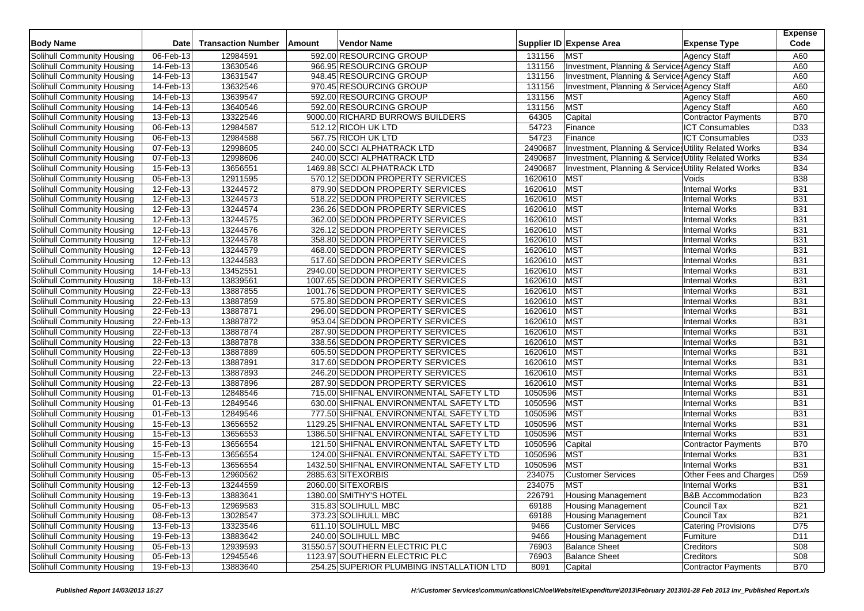| <b>Body Name</b>                  | <b>Date</b>             | <b>Transaction Number</b> | Amount | <b>Vendor Name</b>                        |         | Supplier ID Expense Area                              | <b>Expense Type</b>          | <b>Expense</b><br>Code |
|-----------------------------------|-------------------------|---------------------------|--------|-------------------------------------------|---------|-------------------------------------------------------|------------------------------|------------------------|
| Solihull Community Housing        | 06-Feb-13               | 12984591                  |        | 592.00 RESOURCING GROUP                   | 131156  | <b>MST</b>                                            | <b>Agency Staff</b>          | A60                    |
| Solihull Community Housing        | 14-Feb-13               | 13630546                  |        | 966.95 RESOURCING GROUP                   | 131156  | Investment, Planning & Service: Agency Staff          |                              | A60                    |
| Solihull Community Housing        | 14-Feb-13               | 13631547                  |        | 948.45 RESOURCING GROUP                   | 131156  | Investment, Planning & Services Agency Staff          |                              | A60                    |
| Solihull Community Housing        | 14-Feb-13               | 13632546                  |        | 970.45 RESOURCING GROUP                   | 131156  | Investment, Planning & Services Agency Staff          |                              | A60                    |
| Solihull Community Housing        | 14-Feb-13               | 13639547                  |        | 592.00 RESOURCING GROUP                   | 131156  | <b>MST</b>                                            | <b>Agency Staff</b>          | A60                    |
| Solihull Community Housing        | 14-Feb-13               | 13640546                  |        | 592.00 RESOURCING GROUP                   | 131156  | <b>MST</b>                                            | <b>Agency Staff</b>          | A60                    |
| Solihull Community Housing        | 13-Feb-13               | 13322546                  |        | 9000.00 RICHARD BURROWS BUILDERS          | 64305   | Capital                                               | <b>Contractor Payments</b>   | <b>B70</b>             |
| Solihull Community Housing        | 06-Feb-13               | 12984587                  |        | 512.12 RICOH UK LTD                       | 54723   | Finance                                               | <b>ICT Consumables</b>       | D33                    |
| Solihull Community Housing        | 06-Feb-13               | 12984588                  |        | 567.75 RICOH UK LTD                       | 54723   | Finance                                               | <b>ICT Consumables</b>       | D33                    |
| Solihull Community Housing        | 07-Feb-13               | 12998605                  |        | 240.00 SCCI ALPHATRACK LTD                | 2490687 | Investment, Planning & Services Utility Related Works |                              | <b>B34</b>             |
| Solihull Community Housing        | 07-Feb-13               | 12998606                  |        | 240.00 SCCI ALPHATRACK LTD                | 2490687 | Investment, Planning & Services Utility Related Works |                              | <b>B34</b>             |
| Solihull Community Housing        | 15-Feb-13               | 13656551                  |        | 1469.88 SCCI ALPHATRACK LTD               | 2490687 | Investment, Planning & Services Utility Related Works |                              | <b>B34</b>             |
| Solihull Community Housing        | 05-Feb-13               | 12911595                  |        | 570.12 SEDDON PROPERTY SERVICES           | 1620610 | <b>MST</b>                                            | Voids                        | <b>B38</b>             |
| Solihull Community Housing        | 12-Feb-13               | 13244572                  |        | 879.90 SEDDON PROPERTY SERVICES           | 1620610 | <b>MST</b>                                            | Internal Works               | <b>B31</b>             |
| Solihull Community Housing        | 12-Feb-13               | 13244573                  |        | 518.22 SEDDON PROPERTY SERVICES           | 1620610 | <b>MST</b>                                            | <b>Internal Works</b>        | <b>B31</b>             |
| Solihull Community Housing        | $\overline{12}$ -Feb-13 | 13244574                  |        | 236.26 SEDDON PROPERTY SERVICES           | 1620610 | <b>MST</b>                                            | <b>Internal Works</b>        | <b>B31</b>             |
| Solihull Community Housing        | 12-Feb-13               | 13244575                  |        | 362.00 SEDDON PROPERTY SERVICES           | 1620610 | <b>MST</b>                                            | Internal Works               | <b>B31</b>             |
| Solihull Community Housing        | 12-Feb-13               | 13244576                  |        | 326.12 SEDDON PROPERTY SERVICES           | 1620610 | MST                                                   | <b>Internal Works</b>        | <b>B31</b>             |
| Solihull Community Housing        | 12-Feb-13               | 13244578                  |        | 358.80 SEDDON PROPERTY SERVICES           | 1620610 | <b>MST</b>                                            | <b>Internal Works</b>        | <b>B31</b>             |
| Solihull Community Housing        | 12-Feb-13               | 13244579                  |        | 468.00 SEDDON PROPERTY SERVICES           | 1620610 | <b>MST</b>                                            | <b>Internal Works</b>        | <b>B31</b>             |
| Solihull Community Housing        |                         |                           |        | 517.60 SEDDON PROPERTY SERVICES           | 1620610 | MST                                                   | <b>Internal Works</b>        | <b>B31</b>             |
|                                   | 12-Feb-13               | 13244583                  |        | 2940.00 SEDDON PROPERTY SERVICES          |         |                                                       |                              | <b>B31</b>             |
| Solihull Community Housing        | 14-Feb-13               | 13452551                  |        |                                           | 1620610 | <b>MST</b>                                            | <b>Internal Works</b>        |                        |
| Solihull Community Housing        | 18-Feb-13               | 13839561                  |        | 1007.65 SEDDON PROPERTY SERVICES          | 1620610 | MST                                                   | Internal Works               | <b>B31</b>             |
| Solihull Community Housing        | 22-Feb-13               | 13887855                  |        | 1001.76 SEDDON PROPERTY SERVICES          | 1620610 | MST                                                   | <b>Internal Works</b>        | <b>B31</b>             |
| Solihull Community Housing        | 22-Feb-13               | 13887859                  |        | 575.80 SEDDON PROPERTY SERVICES           | 1620610 | <b>MST</b>                                            | <b>Internal Works</b>        | <b>B31</b>             |
| Solihull Community Housing        | 22-Feb-13               | 13887871                  |        | 296.00 SEDDON PROPERTY SERVICES           | 1620610 | <b>MST</b>                                            | Internal Works               | <b>B31</b>             |
| Solihull Community Housing        | 22-Feb-13               | 13887872                  |        | 953.04 SEDDON PROPERTY SERVICES           | 1620610 | MST                                                   | <b>Internal Works</b>        | <b>B31</b>             |
| Solihull Community Housing        | 22-Feb-13               | 13887874                  |        | 287.90 SEDDON PROPERTY SERVICES           | 1620610 | <b>MST</b>                                            | <b>Internal Works</b>        | <b>B31</b>             |
| Solihull Community Housing        | 22-Feb-13               | 13887878                  |        | 338.56 SEDDON PROPERTY SERVICES           | 1620610 | <b>MST</b>                                            | Internal Works               | <b>B31</b>             |
| Solihull Community Housing        | 22-Feb-13               | 13887889                  |        | 605.50 SEDDON PROPERTY SERVICES           | 1620610 | MST                                                   | <b>Internal Works</b>        | <b>B31</b>             |
| Solihull Community Housing        | 22-Feb-13               | 13887891                  |        | 317.60 SEDDON PROPERTY SERVICES           | 1620610 | <b>MST</b>                                            | <b>Internal Works</b>        | <b>B31</b>             |
| Solihull Community Housing        | 22-Feb-13               | 13887893                  |        | 246.20 SEDDON PROPERTY SERVICES           | 1620610 | <b>MST</b>                                            | <b>Internal Works</b>        | <b>B31</b>             |
| Solihull Community Housing        | 22-Feb-13               | 13887896                  |        | 287.90 SEDDON PROPERTY SERVICES           | 1620610 | MST                                                   | <b>Internal Works</b>        | <b>B31</b>             |
| Solihull Community Housing        | 01-Feb-13               | 12848546                  |        | 715.00 SHIFNAL ENVIRONMENTAL SAFETY LTD   | 1050596 | <b>MST</b>                                            | <b>Internal Works</b>        | <b>B31</b>             |
| Solihull Community Housing        | 01-Feb-13               | 12849546                  |        | 630.00 SHIFNAL ENVIRONMENTAL SAFETY LTD   | 1050596 | <b>MST</b>                                            | <b>Internal Works</b>        | <b>B31</b>             |
| Solihull Community Housing        | 01-Feb-13               | 12849546                  |        | 777.50 SHIFNAL ENVIRONMENTAL SAFETY LTD   | 1050596 | <b>MST</b>                                            | <b>Internal Works</b>        | <b>B31</b>             |
| Solihull Community Housing        | 15-Feb-13               | 13656552                  |        | 1129.25 SHIFNAL ENVIRONMENTAL SAFETY LTD  | 1050596 | <b>MST</b>                                            | <b>Internal Works</b>        | <b>B31</b>             |
| Solihull Community Housing        | 15-Feb-13               | 13656553                  |        | 1386.50 SHIFNAL ENVIRONMENTAL SAFETY LTD  | 1050596 | <b>MST</b>                                            | Internal Works               | <b>B31</b>             |
| Solihull Community Housing        | 15-Feb-13               | 13656554                  |        | 121.50 SHIFNAL ENVIRONMENTAL SAFETY LTD   | 1050596 | Capital                                               | <b>Contractor Payments</b>   | <b>B70</b>             |
| Solihull Community Housing        | 15-Feb-13               | 13656554                  |        | 124.00 SHIFNAL ENVIRONMENTAL SAFETY LTD   | 1050596 | <b>MST</b>                                            | <b>Internal Works</b>        | <b>B31</b>             |
| Solihull Community Housing        | 15-Feb-13               | 13656554                  |        | 1432.50 SHIFNAL ENVIRONMENTAL SAFETY LTD  | 1050596 | <b>MST</b>                                            | <b>Internal Works</b>        | <b>B31</b>             |
| Solihull Community Housing        | 05-Feb-13               | 12960562                  |        | 2885.63 SITEXORBIS                        | 234075  | <b>Customer Services</b>                              | Other Fees and Charges       | D <sub>59</sub>        |
| Solihull Community Housing        | 12-Feb-13               | 13244559                  |        | 2060.00 SITEXORBIS                        | 234075  | <b>MST</b>                                            | <b>Internal Works</b>        | <b>B31</b>             |
| Solihull Community Housing        | 19-Feb-13               | 13883641                  |        | 1380.00 SMITHY'S HOTEL                    | 226791  | <b>Housing Management</b>                             | <b>B&amp;B Accommodation</b> | <b>B23</b>             |
| Solihull Community Housing        | 05-Feb-13               | 12969583                  |        | 315.83 SOLIHULL MBC                       | 69188   | <b>Housing Management</b>                             | Council Tax                  | <b>B21</b>             |
| Solihull Community Housing        | 08-Feb-13               | 13028547                  |        | 373.23 SOLIHULL MBC                       | 69188   | <b>Housing Management</b>                             | Council Tax                  | <b>B21</b>             |
| Solihull Community Housing        | 13-Feb-13               | 13323546                  |        | 611.10 SOLIHULL MBC                       | 9466    | <b>Customer Services</b>                              | <b>Catering Provisions</b>   | D75                    |
| Solihull Community Housing        | 19-Feb-13               | 13883642                  |        | 240.00 SOLIHULL MBC                       | 9466    | <b>Housing Management</b>                             | Furniture                    | D11                    |
| Solihull Community Housing        | 05-Feb-13               | 12939593                  |        | 31550.57 SOUTHERN ELECTRIC PLC            | 76903   | <b>Balance Sheet</b>                                  | <b>Creditors</b>             | <b>S08</b>             |
| <b>Solihull Community Housing</b> | 05-Feb-13               | 12945546                  |        | 1123.97 SOUTHERN ELECTRIC PLC             | 76903   | <b>Balance Sheet</b>                                  | Creditors                    | S <sub>08</sub>        |
| Solihull Community Housing        | 19-Feb-13               | 13883640                  |        | 254.25 SUPERIOR PLUMBING INSTALLATION LTD | 8091    | Capital                                               | Contractor Payments          | <b>B70</b>             |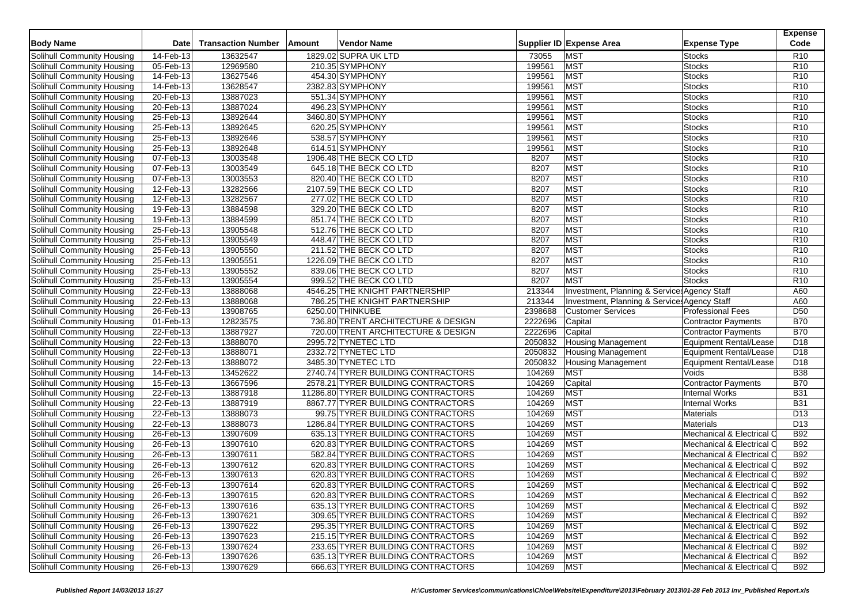| <b>Body Name</b>                                                | <b>Date</b> | <b>Transaction Number</b> | Amount | <b>Vendor Name</b>                  |            | Supplier ID Expense Area                     | <b>Expense Type</b>            | <b>Expense</b><br>Code             |
|-----------------------------------------------------------------|-------------|---------------------------|--------|-------------------------------------|------------|----------------------------------------------|--------------------------------|------------------------------------|
| Solihull Community Housing                                      | 14-Feb-13   | 13632547                  |        | 1829.02 SUPRA UK LTD                | 73055      | <b>MST</b>                                   | <b>Stocks</b>                  | R <sub>10</sub>                    |
| Solihull Community Housing                                      | 05-Feb-13   | 12969580                  |        | 210.35 SYMPHONY                     | 199561     | MST                                          | Stocks                         | R <sub>10</sub>                    |
| Solihull Community Housing                                      | 14-Feb-13   | 13627546                  |        | 454.30 SYMPHONY                     | 199561     | <b>MST</b>                                   | <b>Stocks</b>                  | R <sub>10</sub>                    |
| Solihull Community Housing                                      | 14-Feb-13   | 13628547                  |        | 2382.83 SYMPHONY                    | 199561     | <b>MST</b>                                   | <b>Stocks</b>                  | R <sub>10</sub>                    |
| Solihull Community Housing                                      | 20-Feb-13   | 13887023                  |        | 551.34 SYMPHONY                     | 199561     | <b>MST</b>                                   | <b>Stocks</b>                  | R <sub>10</sub>                    |
| Solihull Community Housing                                      | 20-Feb-13   | 13887024                  |        | 496.23 SYMPHONY                     | 199561     | <b>MST</b>                                   | <b>Stocks</b>                  | R <sub>10</sub>                    |
| Solihull Community Housing                                      | 25-Feb-13   | 13892644                  |        | 3460.80 SYMPHONY                    | 199561     | <b>MST</b>                                   | <b>Stocks</b>                  | R <sub>10</sub>                    |
| Solihull Community Housing                                      | 25-Feb-13   | 13892645                  |        | 620.25 SYMPHONY                     | 199561     | <b>MST</b>                                   | <b>Stocks</b>                  | R <sub>10</sub>                    |
|                                                                 | 25-Feb-13   | 13892646                  |        | 538.57 SYMPHONY                     | 199561     | <b>MST</b>                                   | <b>Stocks</b>                  | R <sub>10</sub>                    |
| Solihull Community Housing<br>Solihull Community Housing        | 25-Feb-13   | 13892648                  |        | 614.51 SYMPHONY                     | 199561     | <b>MST</b>                                   | <b>Stocks</b>                  | R <sub>10</sub>                    |
|                                                                 | 07-Feb-13   | 13003548                  |        | 1906.48 THE BECK CO LTD             | 8207       | <b>MST</b>                                   | <b>Stocks</b>                  | R <sub>10</sub>                    |
| Solihull Community Housing                                      | 07-Feb-13   | 13003549                  |        | 645.18 THE BECK CO LTD              | 8207       | <b>MST</b>                                   | <b>Stocks</b>                  | R <sub>10</sub>                    |
| Solihull Community Housing<br><b>Solihull Community Housing</b> | 07-Feb-13   | 13003553                  |        | 820.40 THE BECK CO LTD              | 8207       | MST                                          | <b>Stocks</b>                  | R <sub>10</sub>                    |
|                                                                 |             |                           |        |                                     | 8207       | <b>MST</b>                                   |                                |                                    |
| Solihull Community Housing                                      | 12-Feb-13   | 13282566<br>13282567      |        | 2107.59 THE BECK CO LTD             | 8207       | <b>MST</b>                                   | <b>Stocks</b><br><b>Stocks</b> | R <sub>10</sub><br>R <sub>10</sub> |
| Solihull Community Housing                                      | 12-Feb-13   |                           |        | 277.02 THE BECK CO LTD              |            |                                              |                                |                                    |
| Solihull Community Housing                                      | 19-Feb-13   | 13884598                  |        | 329.20 THE BECK CO LTD              | 8207       | <b>MST</b>                                   | <b>Stocks</b>                  | R <sub>10</sub>                    |
| Solihull Community Housing                                      | 19-Feb-13   | 13884599                  |        | 851.74 THE BECK CO LTD              | 8207       | <b>MST</b>                                   | <b>Stocks</b>                  | R <sub>10</sub>                    |
| Solihull Community Housing                                      | 25-Feb-13   | 13905548                  |        | 512.76 THE BECK CO LTD              | 8207       | <b>MST</b>                                   | <b>Stocks</b>                  | R <sub>10</sub>                    |
| Solihull Community Housing                                      | 25-Feb-13   | 13905549                  |        | 448.47 THE BECK CO LTD              | 8207       | <b>MST</b>                                   | <b>Stocks</b>                  | R <sub>10</sub>                    |
| Solihull Community Housing                                      | 25-Feb-13   | 13905550                  |        | 211.52 THE BECK CO LTD              | 8207       | <b>MST</b>                                   | <b>Stocks</b>                  | R <sub>10</sub>                    |
| Solihull Community Housing                                      | 25-Feb-13   | 13905551                  |        | 1226.09 THE BECK CO LTD             | 8207       | <b>MST</b>                                   | <b>Stocks</b>                  | R <sub>10</sub>                    |
| <b>Solihull Community Housing</b>                               | 25-Feb-13   | 13905552                  |        | 839.06 THE BECK CO LTD              | 8207       | <b>MST</b>                                   | <b>Stocks</b>                  | R <sub>10</sub>                    |
| Solihull Community Housing                                      | 25-Feb-13   | 13905554                  |        | 999.52 THE BECK CO LTD              | 8207       | <b>MST</b>                                   | <b>Stocks</b>                  | R <sub>10</sub>                    |
| Solihull Community Housing                                      | 22-Feb-13   | 13888068                  |        | 4546.25 THE KNIGHT PARTNERSHIP      | 213344     | Investment, Planning & Services Agency Staff |                                | A60                                |
| Solihull Community Housing                                      | 22-Feb-13   | 13888068                  |        | 786.25 THE KNIGHT PARTNERSHIP       | 213344     | Investment, Planning & Services Agency Staff |                                | A60                                |
| Solihull Community Housing                                      | 26-Feb-13   | 13908765                  |        | 6250.00 THINKUBE                    | 2398688    | <b>Customer Services</b>                     | <b>Professional Fees</b>       | D <sub>50</sub>                    |
| Solihull Community Housing                                      | 01-Feb-13   | 12823575                  |        | 736.80 TRENT ARCHITECTURE & DESIGN  | 2222696    | Capital                                      | Contractor Payments            | <b>B70</b>                         |
| Solihull Community Housing                                      | 22-Feb-13   | 13887927                  |        | 720.00 TRENT ARCHITECTURE & DESIGN  | 2222696    | Capital                                      | <b>Contractor Payments</b>     | <b>B70</b>                         |
| Solihull Community Housing                                      | 22-Feb-13   | 13888070                  |        | 2995.72 TYNETEC LTD                 | 2050832    | <b>Housing Management</b>                    | Equipment Rental/Lease         | D <sub>18</sub>                    |
| Solihull Community Housing                                      | 22-Feb-13   | 13888071                  |        | 2332.72 TYNETEC LTD                 | 2050832    | <b>Housing Management</b>                    | Equipment Rental/Lease         | D <sub>18</sub>                    |
| Solihull Community Housing                                      | 22-Feb-13   | 13888072                  |        | 3485.30 TYNETEC LTD                 | 2050832    | <b>Housing Management</b>                    | <b>Equipment Rental/Lease</b>  | D <sub>18</sub>                    |
| Solihull Community Housing                                      | 14-Feb-13   | 13452622                  |        | 2740.74 TYRER BUILDING CONTRACTORS  | 104269     | <b>MST</b>                                   | Voids                          | <b>B38</b>                         |
| Solihull Community Housing                                      | 15-Feb-13   | 13667596                  |        | 2578.21 TYRER BUILDING CONTRACTORS  | 104269     | Capital                                      | <b>Contractor Payments</b>     | <b>B70</b>                         |
| Solihull Community Housing                                      | 22-Feb-13   | 13887918                  |        | 11286.80 TYRER BUILDING CONTRACTORS | 104269     | <b>MST</b>                                   | <b>Internal Works</b>          | <b>B31</b>                         |
| Solihull Community Housing                                      | 22-Feb-13   | 13887919                  |        | 8867.77 TYRER BUILDING CONTRACTORS  | 104269     | <b>MST</b>                                   | <b>Internal Works</b>          | <b>B31</b>                         |
| Solihull Community Housing                                      | 22-Feb-13   | 13888073                  |        | 99.75 TYRER BUILDING CONTRACTORS    | 104269     | <b>MST</b>                                   | <b>Materials</b>               | D <sub>13</sub>                    |
| Solihull Community Housing                                      | 22-Feb-13   | 13888073                  |        | 1286.84 TYRER BUILDING CONTRACTORS  | 104269     | <b>MST</b>                                   | <b>Materials</b>               | D <sub>13</sub>                    |
| Solihull Community Housing                                      | 26-Feb-13   | 13907609                  |        | 635.13 TYRER BUILDING CONTRACTORS   | 104269     | <b>MST</b>                                   | Mechanical & Electrical O      | <b>B92</b>                         |
| Solihull Community Housing                                      | 26-Feb-13   | 13907610                  |        | 620.83 TYRER BUILDING CONTRACTORS   | 104269     | <b>MST</b>                                   | Mechanical & Electrical O      | <b>B92</b>                         |
| Solihull Community Housing                                      | 26-Feb-13   | 13907611                  |        | 582.84 TYRER BUILDING CONTRACTORS   | 104269     | <b>MST</b>                                   | Mechanical & Electrical C      | <b>B92</b>                         |
| Solihull Community Housing                                      | 26-Feb-13   | 13907612                  |        | 620.83 TYRER BUILDING CONTRACTORS   | 104269     | <b>MST</b>                                   | Mechanical & Electrical C      | <b>B92</b>                         |
| Solihull Community Housing                                      | 26-Feb-13   | 13907613                  |        | 620.83 TYRER BUILDING CONTRACTORS   | 104269     | <b>MST</b>                                   | Mechanical & Electrical O      | <b>B92</b>                         |
| Solihull Community Housing                                      | 26-Feb-13   | 13907614                  |        | 620.83 TYRER BUILDING CONTRACTORS   | 104269     | <b>MST</b>                                   | Mechanical & Electrical O      | <b>B92</b>                         |
| Solihull Community Housing                                      | 26-Feb-13   | 13907615                  |        | 620.83 TYRER BUILDING CONTRACTORS   | 104269 MST |                                              | Mechanical & Electrical C      | <b>B92</b>                         |
| Solihull Community Housing                                      | 26-Feb-13   | 13907616                  |        | 635.13 TYRER BUILDING CONTRACTORS   | 104269     | <b>MST</b>                                   | Mechanical & Electrical C      | <b>B92</b>                         |
| Solihull Community Housing                                      | 26-Feb-13   | 13907621                  |        | 309.65 TYRER BUILDING CONTRACTORS   | 104269     | <b>MST</b>                                   | Mechanical & Electrical O      | <b>B92</b>                         |
| Solihull Community Housing                                      | 26-Feb-13   | 13907622                  |        | 295.35 TYRER BUILDING CONTRACTORS   | 104269     | <b>MST</b>                                   | Mechanical & Electrical C      | <b>B92</b>                         |
| Solihull Community Housing                                      | 26-Feb-13   | 13907623                  |        | 215.15 TYRER BUILDING CONTRACTORS   | 104269     | <b>MST</b>                                   | Mechanical & Electrical O      | <b>B92</b>                         |
| Solihull Community Housing                                      | 26-Feb-13   | 13907624                  |        | 233.65 TYRER BUILDING CONTRACTORS   | 104269     | <b>MST</b>                                   | Mechanical & Electrical O      | <b>B92</b>                         |
| Solihull Community Housing                                      | 26-Feb-13   | 13907626                  |        | 635.13 TYRER BUILDING CONTRACTORS   | 104269     | <b>MST</b>                                   | Mechanical & Electrical C      | <b>B92</b>                         |
| Solihull Community Housing                                      | 26-Feb-13   | 13907629                  |        | 666.63 TYRER BUILDING CONTRACTORS   | 104269     | <b>MST</b>                                   | Mechanical & Electrical C      | <b>B92</b>                         |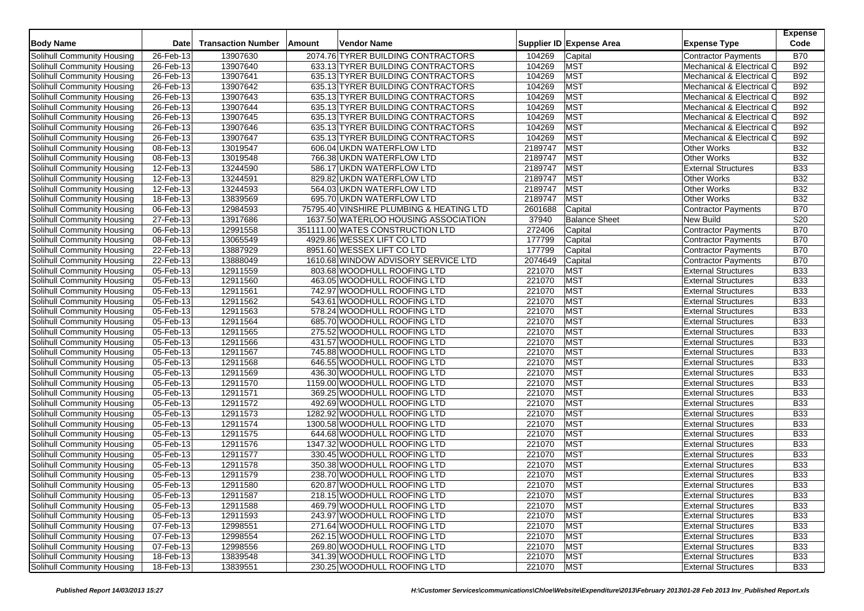| <b>Body Name</b>           | <b>Date</b>             | <b>Transaction Number</b> | Amount | Vendor Name                              |         | Supplier ID Expense Area | <b>Expense Type</b>        | <b>Expense</b><br>Code |
|----------------------------|-------------------------|---------------------------|--------|------------------------------------------|---------|--------------------------|----------------------------|------------------------|
| Solihull Community Housing | 26-Feb-13               | 13907630                  |        | 2074.76 TYRER BUILDING CONTRACTORS       | 104269  | Capital                  | <b>Contractor Payments</b> | <b>B70</b>             |
| Solihull Community Housing | 26-Feb-13               | 13907640                  |        | 633.13 TYRER BUILDING CONTRACTORS        | 104269  | <b>MST</b>               | Mechanical & Electrical C  | <b>B92</b>             |
| Solihull Community Housing | 26-Feb-13               | 13907641                  |        | 635.13 TYRER BUILDING CONTRACTORS        | 104269  | <b>MST</b>               | Mechanical & Electrical C  | <b>B92</b>             |
| Solihull Community Housing | 26-Feb-13               | 13907642                  |        | 635.13 TYRER BUILDING CONTRACTORS        | 104269  | <b>MST</b>               | Mechanical & Electrical O  | <b>B92</b>             |
| Solihull Community Housing | 26-Feb-13               | 13907643                  |        | 635.13 TYRER BUILDING CONTRACTORS        | 104269  | <b>MST</b>               | Mechanical & Electrical C  | <b>B92</b>             |
| Solihull Community Housing | 26-Feb-13               | 13907644                  |        | 635.13 TYRER BUILDING CONTRACTORS        | 104269  | MST                      | Mechanical & Electrical C  | <b>B92</b>             |
| Solihull Community Housing | 26-Feb-13               | 13907645                  |        | 635.13 TYRER BUILDING CONTRACTORS        | 104269  | <b>MST</b>               | Mechanical & Electrical C  | <b>B92</b>             |
| Solihull Community Housing | 26-Feb-13               | 13907646                  |        | 635.13 TYRER BUILDING CONTRACTORS        | 104269  | <b>MST</b>               | Mechanical & Electrical C  | <b>B92</b>             |
| Solihull Community Housing | $26$ -Feb-13            | 13907647                  |        | 635.13 TYRER BUILDING CONTRACTORS        | 104269  | <b>MST</b>               | Mechanical & Electrical O  | <b>B92</b>             |
| Solihull Community Housing | 08-Feb-13               | 13019547                  |        | 606.04 UKDN WATERFLOW LTD                | 2189747 | MST                      | Other Works                | <b>B32</b>             |
| Solihull Community Housing | 08-Feb-13               | 13019548                  |        | 766.38 UKDN WATERFLOW LTD                | 2189747 | <b>MST</b>               | Other Works                | <b>B32</b>             |
| Solihull Community Housing | $12$ -Feb-13            | 13244590                  |        | 586.17 UKDN WATERFLOW LTD                | 2189747 | <b>MST</b>               | <b>External Structures</b> | <b>B33</b>             |
| Solihull Community Housing | 12-Feb-13               | 13244591                  |        | 829.82 UKDN WATERFLOW LTD                | 2189747 | MST                      | Other Works                | <b>B32</b>             |
| Solihull Community Housing | 12-Feb-13               | 13244593                  |        | 564.03 UKDN WATERFLOW LTD                | 2189747 | <b>MST</b>               | Other Works                | <b>B32</b>             |
| Solihull Community Housing | 18-Feb-13               | 13839569                  |        | 695.70 UKDN WATERFLOW LTD                | 2189747 | <b>MST</b>               | <b>Other Works</b>         | <b>B32</b>             |
| Solihull Community Housing | 06-Feb-13               | 12984593                  |        | 75795.40 VINSHIRE PLUMBING & HEATING LTD | 2601688 | Capital                  | <b>Contractor Payments</b> | <b>B70</b>             |
| Solihull Community Housing | 27-Feb-13               | 13917686                  |        | 1637.50 WATERLOO HOUSING ASSOCIATION     | 37940   | <b>Balance Sheet</b>     | New Build                  | S20                    |
| Solihull Community Housing | 06-Feb-13               | 12991558                  |        | 351111.00 WATES CONSTRUCTION LTD         | 272406  | Capital                  | Contractor Payments        | <b>B70</b>             |
| Solihull Community Housing | 08-Feb-13               | 13065549                  |        | 4929.86 WESSEX LIFT CO LTD               | 177799  | Capital                  | <b>Contractor Payments</b> | <b>B70</b>             |
| Solihull Community Housing | 22-Feb-13               | 13887929                  |        | 8951.60 WESSEX LIFT CO LTD               | 177799  | Capital                  | <b>Contractor Payments</b> | <b>B70</b>             |
| Solihull Community Housing | $22$ -Feb-13            | 13888049                  |        | 1610.68 WINDOW ADVISORY SERVICE LTD      | 2074649 | Capital                  | <b>Contractor Payments</b> | <b>B70</b>             |
| Solihull Community Housing | 05-Feb-13               | 12911559                  |        | 803.68 WOODHULL ROOFING LTD              | 221070  | <b>MST</b>               | <b>External Structures</b> | <b>B33</b>             |
| Solihull Community Housing | 05-Feb-13               | 12911560                  |        | 463.05 WOODHULL ROOFING LTD              | 221070  | <b>MST</b>               | <b>External Structures</b> | <b>B33</b>             |
| Solihull Community Housing | $05 - Feb - 13$         | 12911561                  |        | 742.97 WOODHULL ROOFING LTD              | 221070  | <b>MST</b>               | <b>External Structures</b> | <b>B33</b>             |
| Solihull Community Housing | $\overline{05}$ -Feb-13 | 12911562                  |        | 543.61 WOODHULL ROOFING LTD              | 221070  | <b>MST</b>               | <b>External Structures</b> | <b>B33</b>             |
| Solihull Community Housing | 05-Feb-13               | 12911563                  |        | 578.24 WOODHULL ROOFING LTD              | 221070  | <b>MST</b>               | <b>External Structures</b> | <b>B33</b>             |
| Solihull Community Housing | 05-Feb-13               | 12911564                  |        | 685.70 WOODHULL ROOFING LTD              | 221070  | <b>MST</b>               | <b>External Structures</b> | <b>B33</b>             |
| Solihull Community Housing | 05-Feb-13               | 12911565                  |        | 275.52 WOODHULL ROOFING LTD              | 221070  | <b>MST</b>               | <b>External Structures</b> | <b>B33</b>             |
| Solihull Community Housing | 05-Feb-13               | 12911566                  |        | 431.57 WOODHULL ROOFING LTD              | 221070  | <b>MST</b>               | <b>External Structures</b> | <b>B33</b>             |
| Solihull Community Housing | 05-Feb-13               | 12911567                  |        | 745.88 WOODHULL ROOFING LTD              | 221070  | <b>MST</b>               | <b>External Structures</b> | <b>B33</b>             |
| Solihull Community Housing | 05-Feb-13               | 12911568                  |        | 646.55 WOODHULL ROOFING LTD              | 221070  | <b>MST</b>               | <b>External Structures</b> | <b>B33</b>             |
| Solihull Community Housing | 05-Feb-13               | 12911569                  |        | 436.30 WOODHULL ROOFING LTD              | 221070  | MST                      | <b>External Structures</b> | <b>B33</b>             |
| Solihull Community Housing | 05-Feb-13               | 12911570                  |        | 1159.00 WOODHULL ROOFING LTD             | 221070  | <b>MST</b>               | <b>External Structures</b> | <b>B33</b>             |
| Solihull Community Housing | 05-Feb-13               | 12911571                  |        | 369.25 WOODHULL ROOFING LTD              | 221070  | MST                      | <b>External Structures</b> | <b>B33</b>             |
| Solihull Community Housing | 05-Feb-13               | 12911572                  |        | 492.69 WOODHULL ROOFING LTD              | 221070  | MST                      | <b>External Structures</b> | <b>B33</b>             |
| Solihull Community Housing | 05-Feb-13               | 12911573                  |        | 1282.92 WOODHULL ROOFING LTD             | 221070  | <b>MST</b>               | <b>External Structures</b> | <b>B33</b>             |
| Solihull Community Housing | $\overline{05}$ -Feb-13 | 12911574                  |        | 1300.58 WOODHULL ROOFING LTD             | 221070  | <b>MST</b>               | <b>External Structures</b> | <b>B33</b>             |
| Solihull Community Housing | 05-Feb-13               | 12911575                  |        | 644.68 WOODHULL ROOFING LTD              | 221070  | MST                      | <b>External Structures</b> | <b>B33</b>             |
| Solihull Community Housing | 05-Feb-13               | 12911576                  |        | 1347.32 WOODHULL ROOFING LTD             | 221070  | <b>MST</b>               | <b>External Structures</b> | <b>B33</b>             |
| Solihull Community Housing | 05-Feb-13               | 12911577                  |        | 330.45 WOODHULL ROOFING LTD              | 221070  | <b>MST</b>               | <b>External Structures</b> | <b>B33</b>             |
| Solihull Community Housing | 05-Feb-13               | 12911578                  |        | 350.38 WOODHULL ROOFING LTD              | 221070  | <b>MST</b>               | <b>External Structures</b> | <b>B33</b>             |
| Solihull Community Housing | 05-Feb-13               | 12911579                  |        | 238.70 WOODHULL ROOFING LTD              | 221070  | <b>MST</b>               | <b>External Structures</b> | <b>B33</b>             |
| Solihull Community Housing | 05-Feb-13               | 12911580                  |        | 620.87 WOODHULL ROOFING LTD              | 221070  | <b>MST</b>               | <b>External Structures</b> | <b>B33</b>             |
| Solihull Community Housing | 05-Feb-13               | 12911587                  |        | 218.15 WOODHULL ROOFING LTD              | 221070  | <b>MST</b>               | <b>External Structures</b> | <b>B33</b>             |
| Solihull Community Housing | 05-Feb-13               | 12911588                  |        | 469.79 WOODHULL ROOFING LTD              | 221070  | <b>MST</b>               | <b>External Structures</b> | <b>B33</b>             |
| Solihull Community Housing | 05-Feb-13               | 12911593                  |        | 243.97 WOODHULL ROOFING LTD              | 221070  | <b>MST</b>               | <b>External Structures</b> | <b>B33</b>             |
| Solihull Community Housing | 07-Feb-13               | 12998551                  |        | 271.64 WOODHULL ROOFING LTD              | 221070  | <b>MST</b>               | <b>External Structures</b> | <b>B33</b>             |
| Solihull Community Housing | 07-Feb-13               | 12998554                  |        | 262.15 WOODHULL ROOFING LTD              | 221070  | <b>MST</b>               | <b>External Structures</b> | <b>B33</b>             |
| Solihull Community Housing | 07-Feb-13               | 12998556                  |        | 269.80 WOODHULL ROOFING LTD              | 221070  | <b>MST</b>               | <b>External Structures</b> | <b>B33</b>             |
| Solihull Community Housing | 18-Feb-13               | 13839548                  |        | 341.39 WOODHULL ROOFING LTD              | 221070  | <b>MST</b>               | <b>External Structures</b> | <b>B33</b>             |
| Solihull Community Housing | 18-Feb-13               | 13839551                  |        | 230.25 WOODHULL ROOFING LTD              | 221070  | <b>MST</b>               | <b>External Structures</b> | <b>B33</b>             |